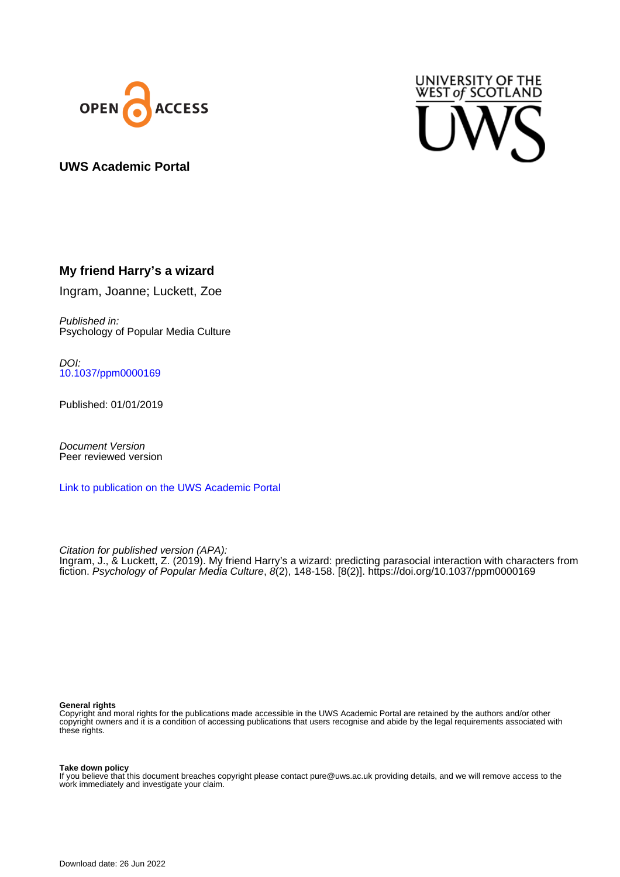



## **UWS Academic Portal**

## **My friend Harry's a wizard**

Ingram, Joanne; Luckett, Zoe

Published in: Psychology of Popular Media Culture

DOI: [10.1037/ppm0000169](https://doi.org/10.1037/ppm0000169)

Published: 01/01/2019

Document Version Peer reviewed version

[Link to publication on the UWS Academic Portal](https://uws.pure.elsevier.com/en/publications/b973cbb2-1ac1-4300-b5a7-07ed68253e16)

Citation for published version (APA): Ingram, J., & Luckett, Z. (2019). My friend Harry's a wizard: predicting parasocial interaction with characters from fiction. Psychology of Popular Media Culture, 8(2), 148-158. [8(2)].<https://doi.org/10.1037/ppm0000169>

#### **General rights**

Copyright and moral rights for the publications made accessible in the UWS Academic Portal are retained by the authors and/or other copyright owners and it is a condition of accessing publications that users recognise and abide by the legal requirements associated with these rights.

#### **Take down policy**

If you believe that this document breaches copyright please contact pure@uws.ac.uk providing details, and we will remove access to the work immediately and investigate your claim.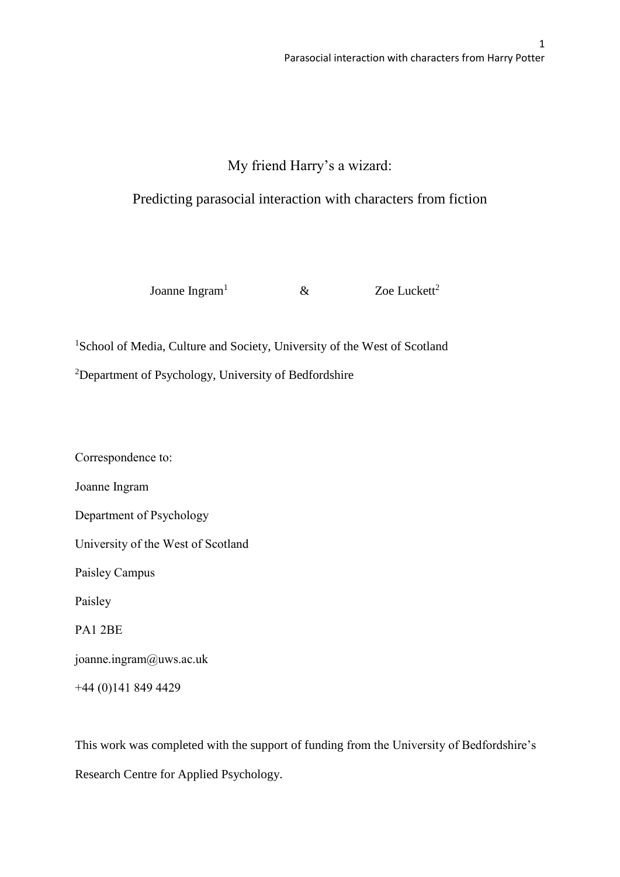# My friend Harry's a wizard:

# Predicting parasocial interaction with characters from fiction

Joanne Ingram<sup>1</sup>  $\&$  Zoe Luckett<sup>2</sup>

<sup>1</sup>School of Media, Culture and Society, University of the West of Scotland

<sup>2</sup>Department of Psychology, University of Bedfordshire

Correspondence to: Joanne Ingram Department of Psychology University of the West of Scotland Paisley Campus Paisley PA1 2BE joanne.ingram@uws.ac.uk +44 (0)141 849 4429

This work was completed with the support of funding from the University of Bedfordshire's Research Centre for Applied Psychology.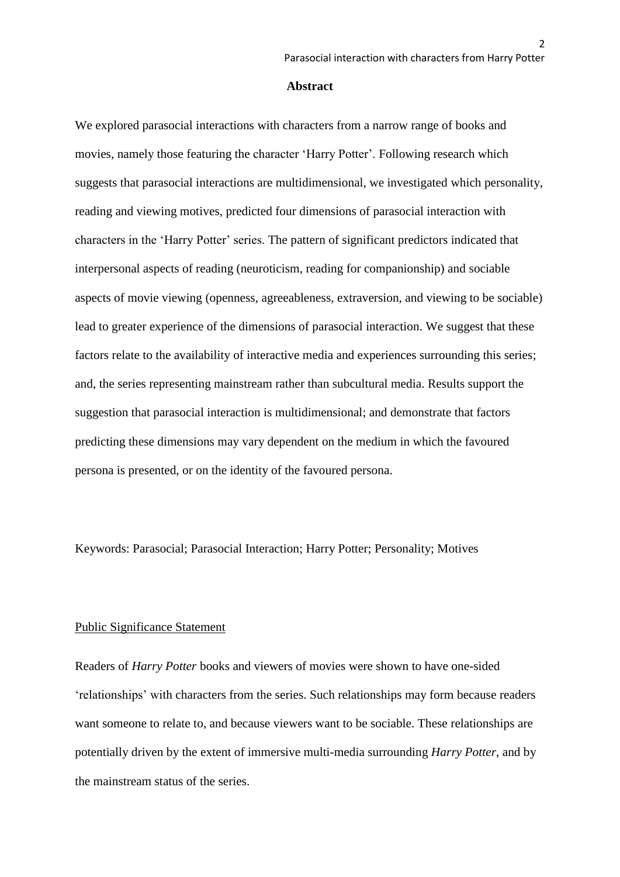$\mathfrak{p}$ 

#### **Abstract**

We explored parasocial interactions with characters from a narrow range of books and movies, namely those featuring the character 'Harry Potter'. Following research which suggests that parasocial interactions are multidimensional, we investigated which personality, reading and viewing motives, predicted four dimensions of parasocial interaction with characters in the 'Harry Potter' series. The pattern of significant predictors indicated that interpersonal aspects of reading (neuroticism, reading for companionship) and sociable aspects of movie viewing (openness, agreeableness, extraversion, and viewing to be sociable) lead to greater experience of the dimensions of parasocial interaction. We suggest that these factors relate to the availability of interactive media and experiences surrounding this series; and, the series representing mainstream rather than subcultural media. Results support the suggestion that parasocial interaction is multidimensional; and demonstrate that factors predicting these dimensions may vary dependent on the medium in which the favoured persona is presented, or on the identity of the favoured persona.

Keywords: Parasocial; Parasocial Interaction; Harry Potter; Personality; Motives

## Public Significance Statement

Readers of *Harry Potter* books and viewers of movies were shown to have one-sided 'relationships' with characters from the series. Such relationships may form because readers want someone to relate to, and because viewers want to be sociable. These relationships are potentially driven by the extent of immersive multi-media surrounding *Harry Potter*, and by the mainstream status of the series.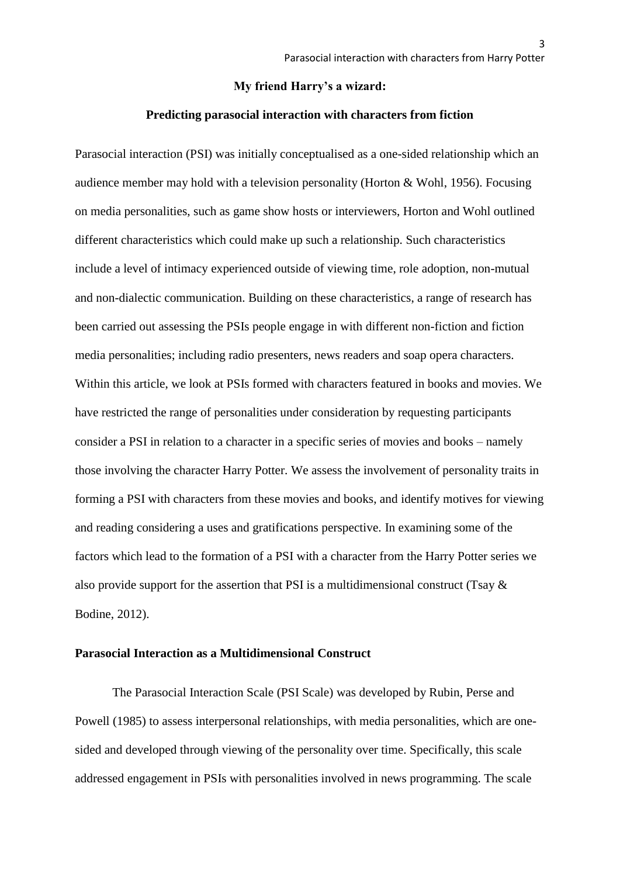## **My friend Harry's a wizard:**

## **Predicting parasocial interaction with characters from fiction**

Parasocial interaction (PSI) was initially conceptualised as a one-sided relationship which an audience member may hold with a television personality (Horton & Wohl, 1956). Focusing on media personalities, such as game show hosts or interviewers, Horton and Wohl outlined different characteristics which could make up such a relationship. Such characteristics include a level of intimacy experienced outside of viewing time, role adoption, non-mutual and non-dialectic communication. Building on these characteristics, a range of research has been carried out assessing the PSIs people engage in with different non-fiction and fiction media personalities; including radio presenters, news readers and soap opera characters. Within this article, we look at PSIs formed with characters featured in books and movies. We have restricted the range of personalities under consideration by requesting participants consider a PSI in relation to a character in a specific series of movies and books – namely those involving the character Harry Potter. We assess the involvement of personality traits in forming a PSI with characters from these movies and books, and identify motives for viewing and reading considering a uses and gratifications perspective. In examining some of the factors which lead to the formation of a PSI with a character from the Harry Potter series we also provide support for the assertion that PSI is a multidimensional construct (Tsay  $\&$ Bodine, 2012).

## **Parasocial Interaction as a Multidimensional Construct**

The Parasocial Interaction Scale (PSI Scale) was developed by Rubin, Perse and Powell (1985) to assess interpersonal relationships, with media personalities, which are onesided and developed through viewing of the personality over time. Specifically, this scale addressed engagement in PSIs with personalities involved in news programming. The scale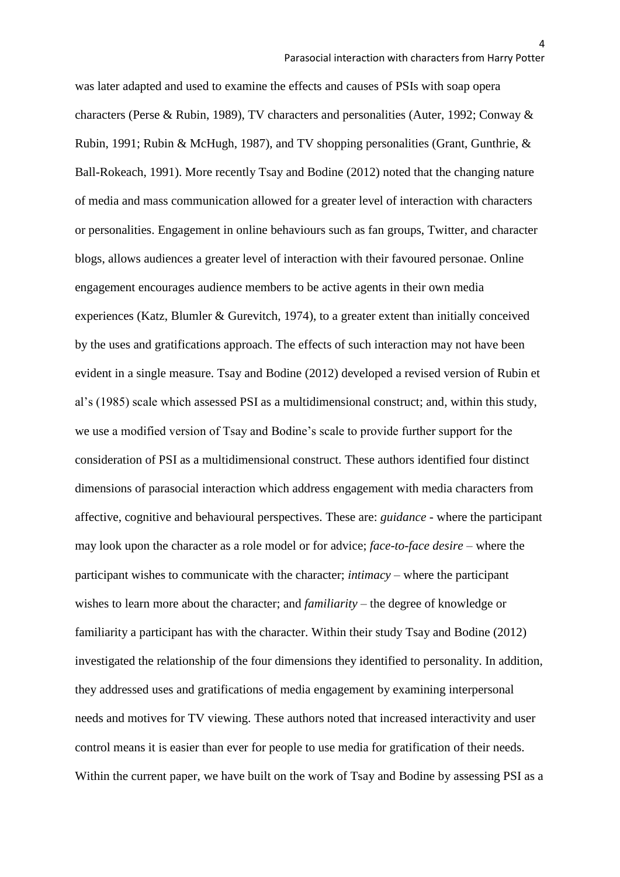was later adapted and used to examine the effects and causes of PSIs with soap opera characters (Perse & Rubin, 1989), TV characters and personalities (Auter, 1992; Conway & Rubin, 1991; Rubin & McHugh, 1987), and TV shopping personalities (Grant, Gunthrie, & Ball-Rokeach, 1991). More recently Tsay and Bodine (2012) noted that the changing nature of media and mass communication allowed for a greater level of interaction with characters or personalities. Engagement in online behaviours such as fan groups, Twitter, and character blogs, allows audiences a greater level of interaction with their favoured personae. Online engagement encourages audience members to be active agents in their own media experiences (Katz, Blumler & Gurevitch, 1974), to a greater extent than initially conceived by the uses and gratifications approach. The effects of such interaction may not have been evident in a single measure. Tsay and Bodine (2012) developed a revised version of Rubin et al's (1985) scale which assessed PSI as a multidimensional construct; and, within this study, we use a modified version of Tsay and Bodine's scale to provide further support for the consideration of PSI as a multidimensional construct. These authors identified four distinct dimensions of parasocial interaction which address engagement with media characters from affective, cognitive and behavioural perspectives. These are: *guidance* - where the participant may look upon the character as a role model or for advice; *face-to-face desire* – where the participant wishes to communicate with the character; *intimacy* – where the participant wishes to learn more about the character; and *familiarity* – the degree of knowledge or familiarity a participant has with the character. Within their study Tsay and Bodine (2012) investigated the relationship of the four dimensions they identified to personality. In addition, they addressed uses and gratifications of media engagement by examining interpersonal needs and motives for TV viewing. These authors noted that increased interactivity and user control means it is easier than ever for people to use media for gratification of their needs. Within the current paper, we have built on the work of Tsay and Bodine by assessing PSI as a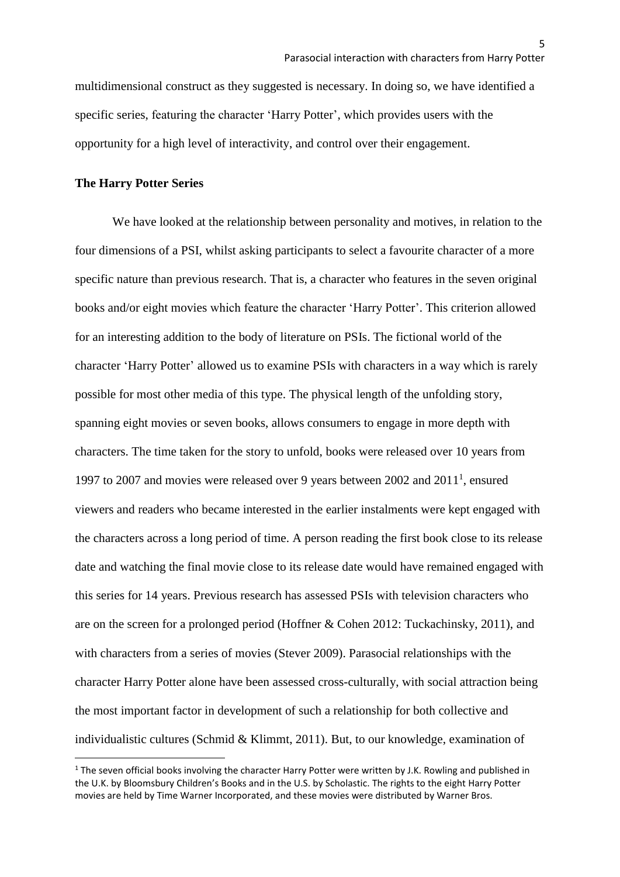multidimensional construct as they suggested is necessary. In doing so, we have identified a specific series, featuring the character 'Harry Potter', which provides users with the opportunity for a high level of interactivity, and control over their engagement.

## **The Harry Potter Series**

**.** 

We have looked at the relationship between personality and motives, in relation to the four dimensions of a PSI, whilst asking participants to select a favourite character of a more specific nature than previous research. That is, a character who features in the seven original books and/or eight movies which feature the character 'Harry Potter'. This criterion allowed for an interesting addition to the body of literature on PSIs. The fictional world of the character 'Harry Potter' allowed us to examine PSIs with characters in a way which is rarely possible for most other media of this type. The physical length of the unfolding story, spanning eight movies or seven books, allows consumers to engage in more depth with characters. The time taken for the story to unfold, books were released over 10 years from 1997 to 2007 and movies were released over 9 years between 2002 and 2011<sup>1</sup> , ensured viewers and readers who became interested in the earlier instalments were kept engaged with the characters across a long period of time. A person reading the first book close to its release date and watching the final movie close to its release date would have remained engaged with this series for 14 years. Previous research has assessed PSIs with television characters who are on the screen for a prolonged period (Hoffner & Cohen 2012: Tuckachinsky, 2011), and with characters from a series of movies (Stever 2009). Parasocial relationships with the character Harry Potter alone have been assessed cross-culturally, with social attraction being the most important factor in development of such a relationship for both collective and individualistic cultures (Schmid & Klimmt, 2011). But, to our knowledge, examination of

 $1$  The seven official books involving the character Harry Potter were written by J.K. Rowling and published in the U.K. by Bloomsbury Children's Books and in the U.S. by Scholastic. The rights to the eight Harry Potter movies are held by Time Warner Incorporated, and these movies were distributed by Warner Bros.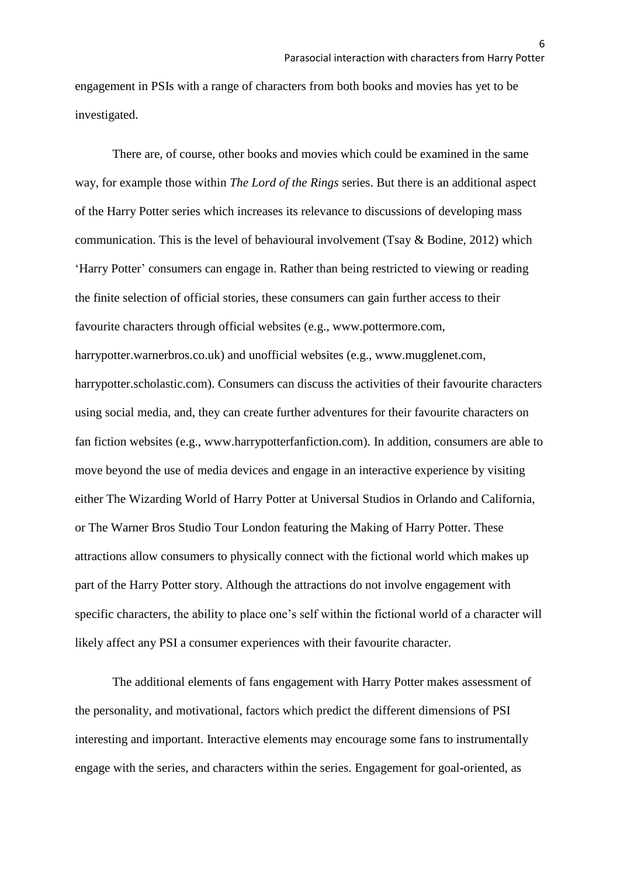engagement in PSIs with a range of characters from both books and movies has yet to be investigated.

There are, of course, other books and movies which could be examined in the same way, for example those within *The Lord of the Rings* series. But there is an additional aspect of the Harry Potter series which increases its relevance to discussions of developing mass communication. This is the level of behavioural involvement (Tsay & Bodine, 2012) which 'Harry Potter' consumers can engage in. Rather than being restricted to viewing or reading the finite selection of official stories, these consumers can gain further access to their favourite characters through official websites (e.g., www.pottermore.com, harrypotter.warnerbros.co.uk) and unofficial websites (e.g., www.mugglenet.com, harrypotter.scholastic.com). Consumers can discuss the activities of their favourite characters using social media, and, they can create further adventures for their favourite characters on fan fiction websites (e.g., www.harrypotterfanfiction.com). In addition, consumers are able to move beyond the use of media devices and engage in an interactive experience by visiting either The Wizarding World of Harry Potter at Universal Studios in Orlando and California, or The Warner Bros Studio Tour London featuring the Making of Harry Potter. These attractions allow consumers to physically connect with the fictional world which makes up part of the Harry Potter story. Although the attractions do not involve engagement with specific characters, the ability to place one's self within the fictional world of a character will likely affect any PSI a consumer experiences with their favourite character.

The additional elements of fans engagement with Harry Potter makes assessment of the personality, and motivational, factors which predict the different dimensions of PSI interesting and important. Interactive elements may encourage some fans to instrumentally engage with the series, and characters within the series. Engagement for goal-oriented, as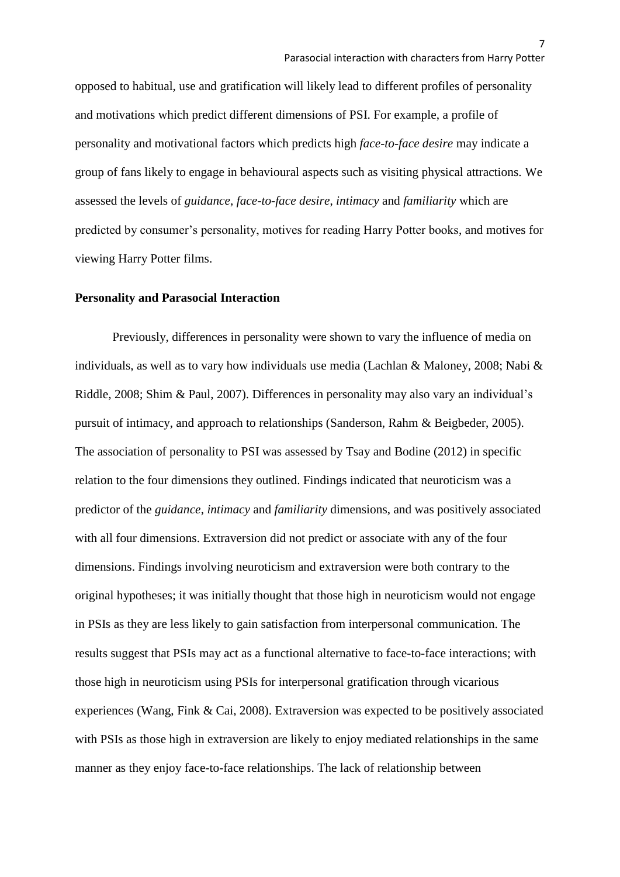opposed to habitual, use and gratification will likely lead to different profiles of personality and motivations which predict different dimensions of PSI. For example, a profile of personality and motivational factors which predicts high *face-to-face desire* may indicate a group of fans likely to engage in behavioural aspects such as visiting physical attractions. We assessed the levels of *guidance*, *face-to-face desire*, *intimacy* and *familiarity* which are predicted by consumer's personality, motives for reading Harry Potter books, and motives for viewing Harry Potter films.

## **Personality and Parasocial Interaction**

Previously, differences in personality were shown to vary the influence of media on individuals, as well as to vary how individuals use media (Lachlan & Maloney, 2008; Nabi & Riddle, 2008; Shim & Paul, 2007). Differences in personality may also vary an individual's pursuit of intimacy, and approach to relationships (Sanderson, Rahm & Beigbeder, 2005). The association of personality to PSI was assessed by Tsay and Bodine (2012) in specific relation to the four dimensions they outlined. Findings indicated that neuroticism was a predictor of the *guidance*, *intimacy* and *familiarity* dimensions, and was positively associated with all four dimensions. Extraversion did not predict or associate with any of the four dimensions. Findings involving neuroticism and extraversion were both contrary to the original hypotheses; it was initially thought that those high in neuroticism would not engage in PSIs as they are less likely to gain satisfaction from interpersonal communication. The results suggest that PSIs may act as a functional alternative to face-to-face interactions; with those high in neuroticism using PSIs for interpersonal gratification through vicarious experiences (Wang, Fink & Cai, 2008). Extraversion was expected to be positively associated with PSIs as those high in extraversion are likely to enjoy mediated relationships in the same manner as they enjoy face-to-face relationships. The lack of relationship between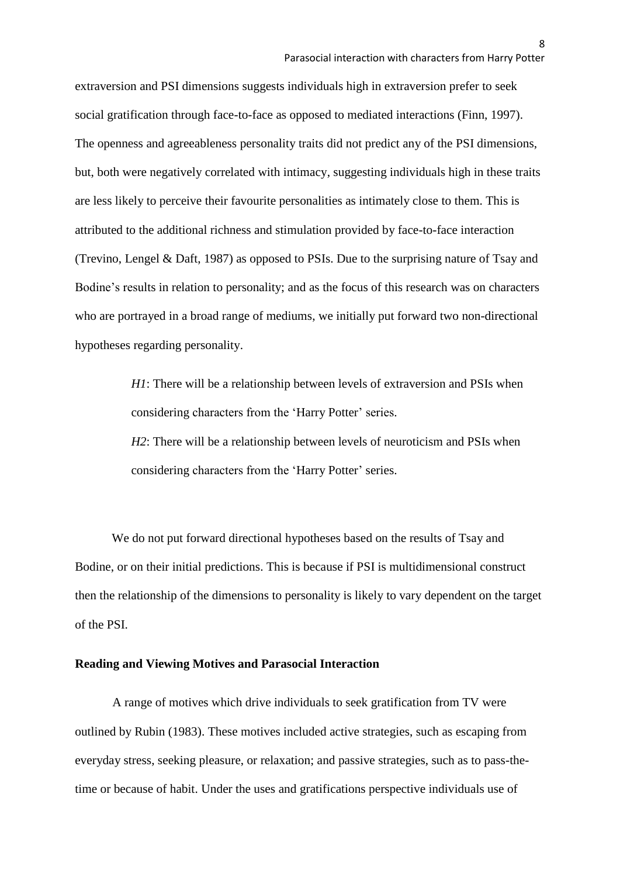extraversion and PSI dimensions suggests individuals high in extraversion prefer to seek social gratification through face-to-face as opposed to mediated interactions (Finn, 1997). The openness and agreeableness personality traits did not predict any of the PSI dimensions, but, both were negatively correlated with intimacy, suggesting individuals high in these traits are less likely to perceive their favourite personalities as intimately close to them. This is attributed to the additional richness and stimulation provided by face-to-face interaction (Trevino, Lengel & Daft, 1987) as opposed to PSIs. Due to the surprising nature of Tsay and Bodine's results in relation to personality; and as the focus of this research was on characters who are portrayed in a broad range of mediums, we initially put forward two non-directional hypotheses regarding personality.

> *H1*: There will be a relationship between levels of extraversion and PSIs when considering characters from the 'Harry Potter' series.

> *H2*: There will be a relationship between levels of neuroticism and PSIs when considering characters from the 'Harry Potter' series.

We do not put forward directional hypotheses based on the results of Tsay and Bodine, or on their initial predictions. This is because if PSI is multidimensional construct then the relationship of the dimensions to personality is likely to vary dependent on the target of the PSI.

## **Reading and Viewing Motives and Parasocial Interaction**

A range of motives which drive individuals to seek gratification from TV were outlined by Rubin (1983). These motives included active strategies, such as escaping from everyday stress, seeking pleasure, or relaxation; and passive strategies, such as to pass-thetime or because of habit. Under the uses and gratifications perspective individuals use of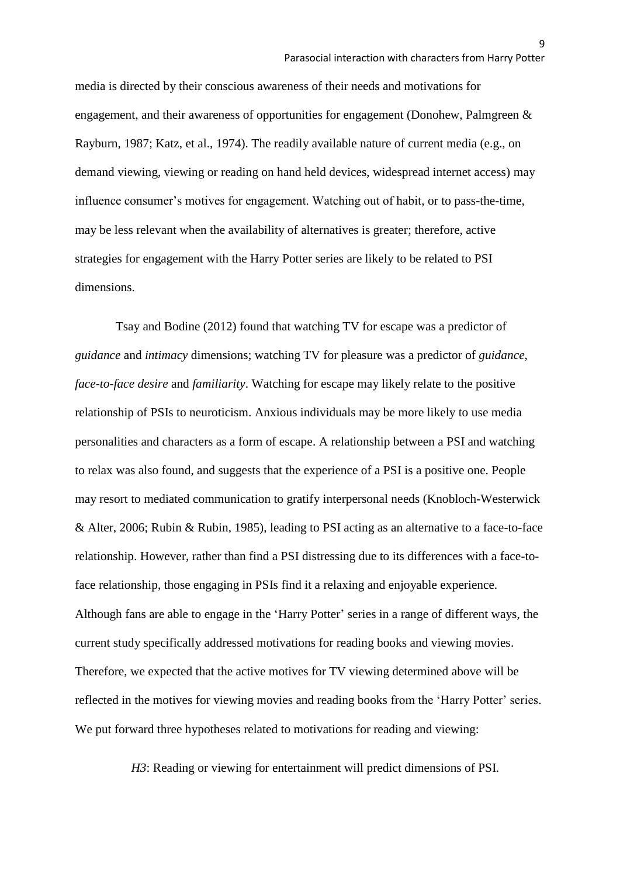media is directed by their conscious awareness of their needs and motivations for engagement, and their awareness of opportunities for engagement (Donohew, Palmgreen & Rayburn, 1987; Katz, et al., 1974). The readily available nature of current media (e.g., on demand viewing, viewing or reading on hand held devices, widespread internet access) may influence consumer's motives for engagement. Watching out of habit, or to pass-the-time, may be less relevant when the availability of alternatives is greater; therefore, active strategies for engagement with the Harry Potter series are likely to be related to PSI dimensions.

Tsay and Bodine (2012) found that watching TV for escape was a predictor of *guidance* and *intimacy* dimensions; watching TV for pleasure was a predictor of *guidance*, *face-to-face desire* and *familiarity*. Watching for escape may likely relate to the positive relationship of PSIs to neuroticism. Anxious individuals may be more likely to use media personalities and characters as a form of escape. A relationship between a PSI and watching to relax was also found, and suggests that the experience of a PSI is a positive one. People may resort to mediated communication to gratify interpersonal needs (Knobloch-Westerwick & Alter, 2006; Rubin & Rubin, 1985), leading to PSI acting as an alternative to a face-to-face relationship. However, rather than find a PSI distressing due to its differences with a face-toface relationship, those engaging in PSIs find it a relaxing and enjoyable experience. Although fans are able to engage in the 'Harry Potter' series in a range of different ways, the current study specifically addressed motivations for reading books and viewing movies. Therefore, we expected that the active motives for TV viewing determined above will be reflected in the motives for viewing movies and reading books from the 'Harry Potter' series. We put forward three hypotheses related to motivations for reading and viewing:

*H3*: Reading or viewing for entertainment will predict dimensions of PSI.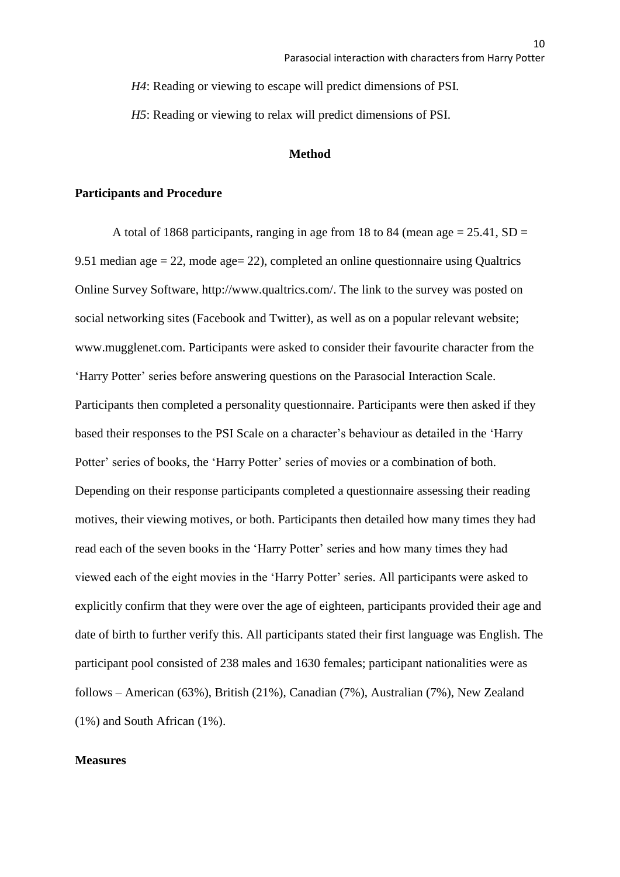*H4*: Reading or viewing to escape will predict dimensions of PSI.

*H5*: Reading or viewing to relax will predict dimensions of PSI.

## **Method**

## **Participants and Procedure**

A total of 1868 participants, ranging in age from 18 to 84 (mean age  $= 25.41$ , SD  $=$ 9.51 median age  $= 22$ , mode age  $= 22$ ), completed an online questionnaire using Qualtrics Online Survey Software, http://www.qualtrics.com/. The link to the survey was posted on social networking sites (Facebook and Twitter), as well as on a popular relevant website; www.mugglenet.com. Participants were asked to consider their favourite character from the 'Harry Potter' series before answering questions on the Parasocial Interaction Scale. Participants then completed a personality questionnaire. Participants were then asked if they based their responses to the PSI Scale on a character's behaviour as detailed in the 'Harry Potter' series of books, the 'Harry Potter' series of movies or a combination of both. Depending on their response participants completed a questionnaire assessing their reading motives, their viewing motives, or both. Participants then detailed how many times they had read each of the seven books in the 'Harry Potter' series and how many times they had viewed each of the eight movies in the 'Harry Potter' series. All participants were asked to explicitly confirm that they were over the age of eighteen, participants provided their age and date of birth to further verify this. All participants stated their first language was English. The participant pool consisted of 238 males and 1630 females; participant nationalities were as follows – American (63%), British (21%), Canadian (7%), Australian (7%), New Zealand (1%) and South African (1%).

## **Measures**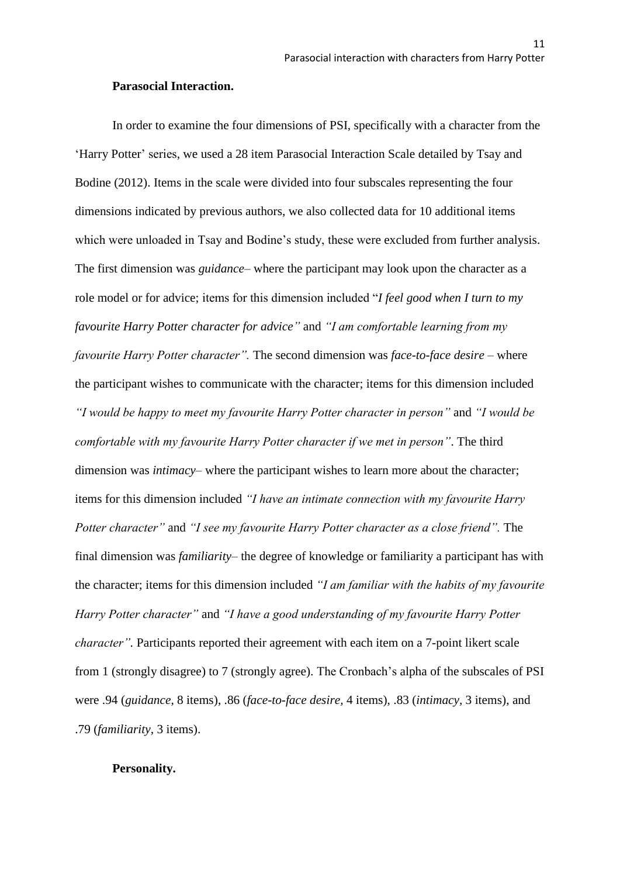### **Parasocial Interaction.**

In order to examine the four dimensions of PSI, specifically with a character from the 'Harry Potter' series, we used a 28 item Parasocial Interaction Scale detailed by Tsay and Bodine (2012). Items in the scale were divided into four subscales representing the four dimensions indicated by previous authors, we also collected data for 10 additional items which were unloaded in Tsay and Bodine's study, these were excluded from further analysis. The first dimension was *guidance*– where the participant may look upon the character as a role model or for advice; items for this dimension included "*I feel good when I turn to my favourite Harry Potter character for advice"* and *"I am comfortable learning from my favourite Harry Potter character".* The second dimension was *face-to-face desire* – where the participant wishes to communicate with the character; items for this dimension included *"I would be happy to meet my favourite Harry Potter character in person"* and *"I would be comfortable with my favourite Harry Potter character if we met in person"*. The third dimension was *intimacy*– where the participant wishes to learn more about the character; items for this dimension included *"I have an intimate connection with my favourite Harry Potter character"* and *"I see my favourite Harry Potter character as a close friend".* The final dimension was *familiarity*– the degree of knowledge or familiarity a participant has with the character; items for this dimension included *"I am familiar with the habits of my favourite Harry Potter character"* and *"I have a good understanding of my favourite Harry Potter character".* Participants reported their agreement with each item on a 7-point likert scale from 1 (strongly disagree) to 7 (strongly agree). The Cronbach's alpha of the subscales of PSI were .94 (*guidance,* 8 items), .86 (*face-to-face desire,* 4 items), .83 (*intimacy,* 3 items), and .79 (*familiarity,* 3 items).

## **Personality.**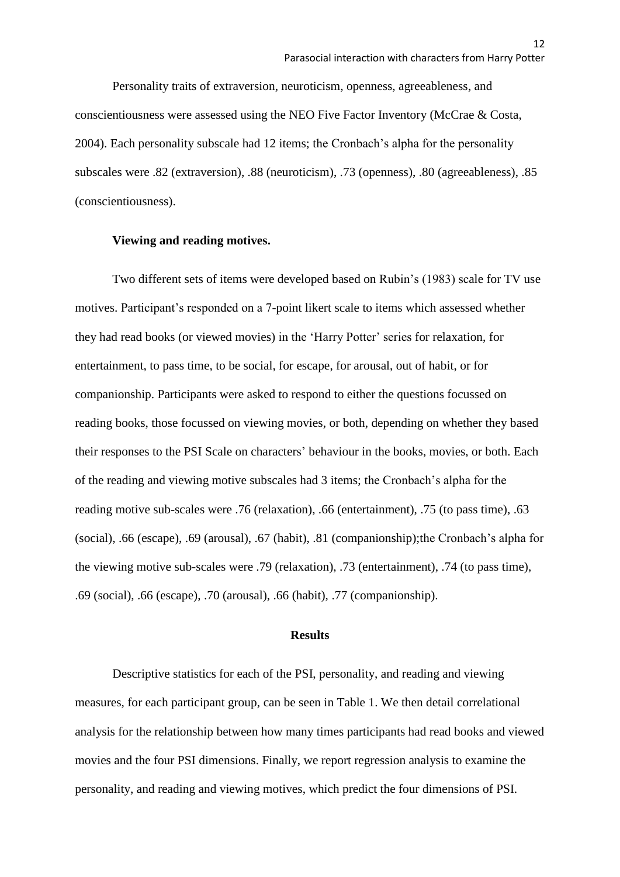Personality traits of extraversion, neuroticism, openness, agreeableness, and conscientiousness were assessed using the NEO Five Factor Inventory (McCrae & Costa, 2004). Each personality subscale had 12 items; the Cronbach's alpha for the personality subscales were .82 (extraversion), .88 (neuroticism), .73 (openness), .80 (agreeableness), .85 (conscientiousness).

## **Viewing and reading motives.**

Two different sets of items were developed based on Rubin's (1983) scale for TV use motives. Participant's responded on a 7-point likert scale to items which assessed whether they had read books (or viewed movies) in the 'Harry Potter' series for relaxation, for entertainment, to pass time, to be social, for escape, for arousal, out of habit, or for companionship. Participants were asked to respond to either the questions focussed on reading books, those focussed on viewing movies, or both, depending on whether they based their responses to the PSI Scale on characters' behaviour in the books, movies, or both. Each of the reading and viewing motive subscales had 3 items; the Cronbach's alpha for the reading motive sub-scales were .76 (relaxation), .66 (entertainment), .75 (to pass time), .63 (social), .66 (escape), .69 (arousal), .67 (habit), .81 (companionship);the Cronbach's alpha for the viewing motive sub-scales were .79 (relaxation), .73 (entertainment), .74 (to pass time), .69 (social), .66 (escape), .70 (arousal), .66 (habit), .77 (companionship).

## **Results**

Descriptive statistics for each of the PSI, personality, and reading and viewing measures, for each participant group, can be seen in Table 1. We then detail correlational analysis for the relationship between how many times participants had read books and viewed movies and the four PSI dimensions. Finally, we report regression analysis to examine the personality, and reading and viewing motives, which predict the four dimensions of PSI.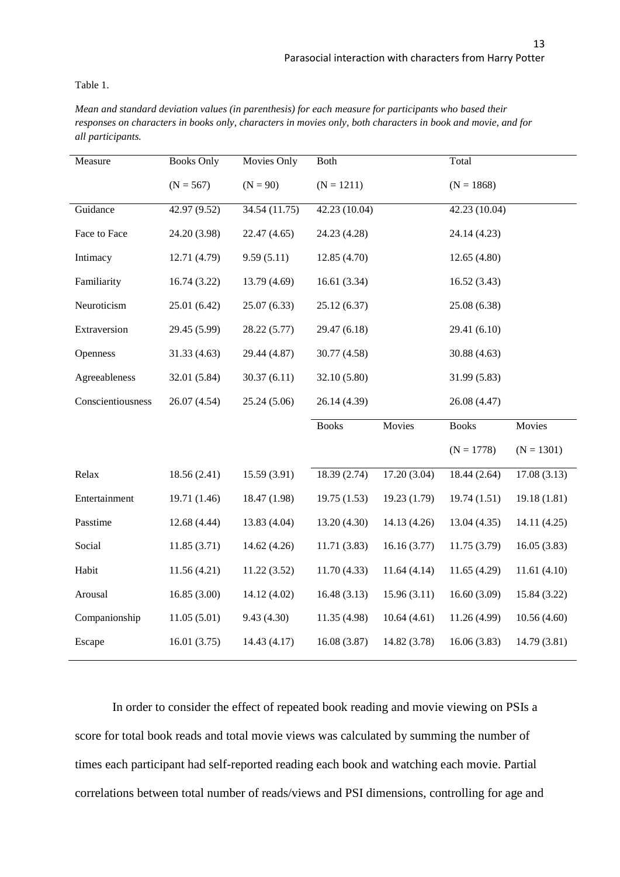Table 1.

*Mean and standard deviation values (in parenthesis) for each measure for participants who based their responses on characters in books only, characters in movies only, both characters in book and movie, and for all participants.*

| Measure           | <b>Books Only</b> | Movies Only   | <b>Both</b>              |              | Total         |              |
|-------------------|-------------------|---------------|--------------------------|--------------|---------------|--------------|
|                   | $(N = 567)$       | $(N = 90)$    | $(N = 1211)$             |              | $(N = 1868)$  |              |
| Guidance          | 42.97 (9.52)      | 34.54 (11.75) | 42.23 (10.04)            |              | 42.23 (10.04) |              |
| Face to Face      | 24.20 (3.98)      | 22.47 (4.65)  | 24.23 (4.28)             |              | 24.14 (4.23)  |              |
| Intimacy          | 12.71 (4.79)      | 9.59(5.11)    | 12.85 (4.70)             |              | 12.65(4.80)   |              |
| Familiarity       | 16.74(3.22)       | 13.79 (4.69)  | 16.61(3.34)              |              | 16.52(3.43)   |              |
| Neuroticism       | 25.01 (6.42)      | 25.07 (6.33)  | 25.12(6.37)              |              | 25.08 (6.38)  |              |
| Extraversion      | 29.45 (5.99)      | 28.22 (5.77)  | 29.47 (6.18)             |              | 29.41 (6.10)  |              |
| Openness          | 31.33(4.63)       | 29.44 (4.87)  | 30.77 (4.58)             |              | 30.88 (4.63)  |              |
| Agreeableness     | 32.01 (5.84)      | 30.37(6.11)   | 32.10 (5.80)             |              | 31.99 (5.83)  |              |
| Conscientiousness | 26.07 (4.54)      | 25.24 (5.06)  | 26.14 (4.39)             |              | 26.08 (4.47)  |              |
|                   |                   |               | <b>Books</b>             | Movies       | <b>Books</b>  | Movies       |
|                   |                   |               |                          |              | $(N = 1778)$  | $(N = 1301)$ |
| Relax             | 18.56(2.41)       | 15.59 (3.91)  | $18.\overline{39(2.74)}$ | 17.20(3.04)  | 18.44(2.64)   | 17.08(3.13)  |
| Entertainment     | 19.71 (1.46)      | 18.47 (1.98)  | 19.75(1.53)              | 19.23 (1.79) | 19.74(1.51)   | 19.18(1.81)  |
| Passtime          | 12.68 (4.44)      | 13.83 (4.04)  | 13.20 (4.30)             | 14.13 (4.26) | 13.04(4.35)   | 14.11(4.25)  |
| Social            | 11.85(3.71)       | 14.62 (4.26)  | 11.71(3.83)              | 16.16(3.77)  | 11.75(3.79)   | 16.05(3.83)  |
| Habit             | 11.56(4.21)       | 11.22(3.52)   | 11.70(4.33)              | 11.64(4.14)  | 11.65(4.29)   | 11.61(4.10)  |
| Arousal           | 16.85(3.00)       | 14.12 (4.02)  | 16.48(3.13)              | 15.96(3.11)  | 16.60(3.09)   | 15.84 (3.22) |
| Companionship     | 11.05(5.01)       | 9.43(4.30)    | 11.35 (4.98)             | 10.64(4.61)  | 11.26 (4.99)  | 10.56(4.60)  |
| Escape            | 16.01(3.75)       | 14.43 (4.17)  | 16.08 (3.87)             | 14.82 (3.78) | 16.06(3.83)   | 14.79 (3.81) |

In order to consider the effect of repeated book reading and movie viewing on PSIs a score for total book reads and total movie views was calculated by summing the number of times each participant had self-reported reading each book and watching each movie. Partial correlations between total number of reads/views and PSI dimensions, controlling for age and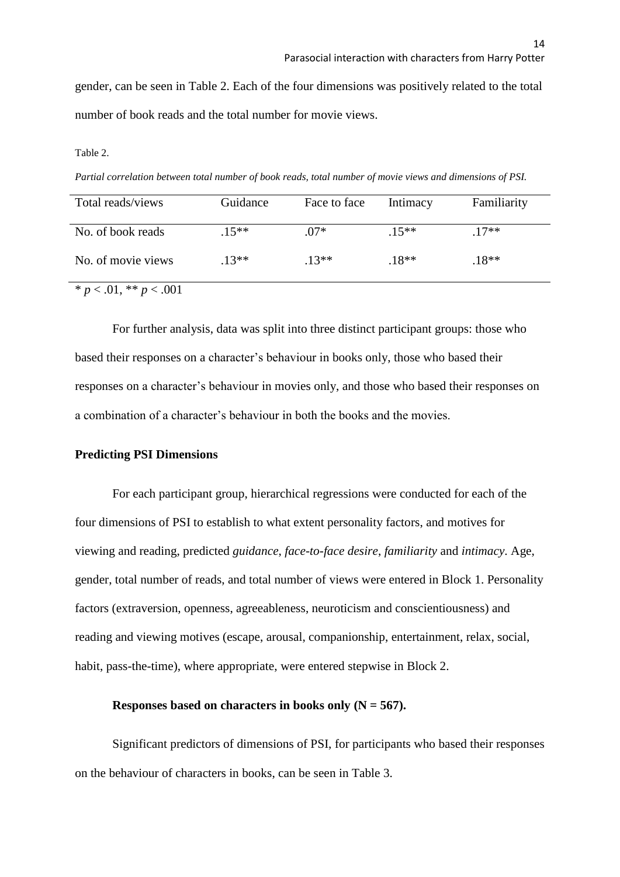gender, can be seen in Table 2. Each of the four dimensions was positively related to the total number of book reads and the total number for movie views.

#### Table 2.

*Partial correlation between total number of book reads, total number of movie views and dimensions of PSI.*

| Total reads/views      | Guidance | Face to face | Intimacy | Familiarity |
|------------------------|----------|--------------|----------|-------------|
|                        |          |              |          |             |
| No. of book reads      | $15**$   | $.07*$       | $.15***$ | $17**$      |
|                        | $13**$   | $13**$       |          |             |
| No. of movie views     |          |              | $.18**$  | $.18**$     |
| $p < .01, ** p < .001$ |          |              |          |             |

For further analysis, data was split into three distinct participant groups: those who based their responses on a character's behaviour in books only, those who based their responses on a character's behaviour in movies only, and those who based their responses on a combination of a character's behaviour in both the books and the movies.

## **Predicting PSI Dimensions**

For each participant group, hierarchical regressions were conducted for each of the four dimensions of PSI to establish to what extent personality factors, and motives for viewing and reading, predicted *guidance*, *face-to-face desire*, *familiarity* and *intimacy*. Age, gender, total number of reads, and total number of views were entered in Block 1. Personality factors (extraversion, openness, agreeableness, neuroticism and conscientiousness) and reading and viewing motives (escape, arousal, companionship, entertainment, relax, social, habit, pass-the-time), where appropriate, were entered stepwise in Block 2.

## **Responses based on characters in books only (N = 567).**

Significant predictors of dimensions of PSI, for participants who based their responses on the behaviour of characters in books, can be seen in Table 3.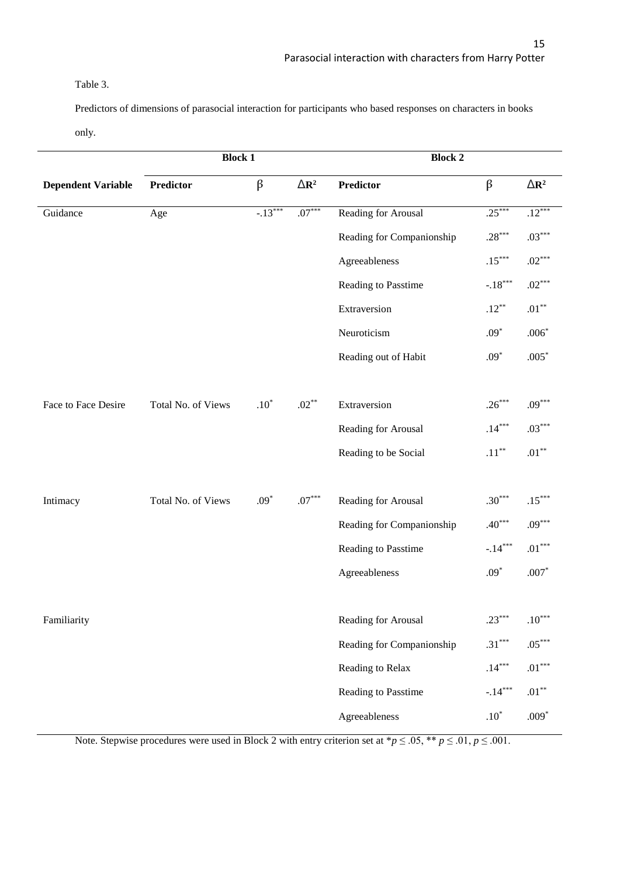## Table 3.

Predictors of dimensions of parasocial interaction for participants who based responses on characters in books

only.

|                           | <b>Block 1</b>     |               |                       | <b>Block 2</b>            |               |                       |  |
|---------------------------|--------------------|---------------|-----------------------|---------------------------|---------------|-----------------------|--|
| <b>Dependent Variable</b> | <b>Predictor</b>   | $\beta$       | $\Delta \mathbf{R}^2$ | <b>Predictor</b>          | $\beta$       | $\Delta \mathbf{R}^2$ |  |
| Guidance                  | Age                | $-13***$      | $.07***$              | Reading for Arousal       | $.25***$      | $.12***$              |  |
|                           |                    |               |                       | Reading for Companionship | $.28***$      | $.03***$              |  |
|                           |                    |               |                       | Agreeableness             | $.15***$      | $.02***$              |  |
|                           |                    |               |                       | Reading to Passtime       | $-.18***$     | $.02***$              |  |
|                           |                    |               |                       | Extraversion              | $.12***$      | $.01***$              |  |
|                           |                    |               |                       | Neuroticism               | $.09*$        | $.006*$               |  |
|                           |                    |               |                       | Reading out of Habit      | $.09*$        | $.005*$               |  |
|                           |                    |               |                       |                           |               |                       |  |
| Face to Face Desire       | Total No. of Views | $.10^{\circ}$ | $.02**$               | Extraversion              | $.26***$      | $.09***$              |  |
|                           |                    |               |                       | Reading for Arousal       | $.14***$      | $.03***$              |  |
|                           |                    |               |                       | Reading to be Social      | $.11***$      | $.01^{\ast\ast}$      |  |
|                           |                    |               |                       |                           |               |                       |  |
| Intimacy                  | Total No. of Views | $.09*$        | $.07^{\ast\ast\ast}$  | Reading for Arousal       | $.30***$      | $.15***$              |  |
|                           |                    |               |                       | Reading for Companionship | $.40***$      | $.09***$              |  |
|                           |                    |               |                       | Reading to Passtime       | $-.14***$     | $.01^{\ast\ast\ast}$  |  |
|                           |                    |               |                       | Agreeableness             | $.09^{\ast}$  | $.007^{\ast}$         |  |
|                           |                    |               |                       |                           |               |                       |  |
| Familiarity               |                    |               |                       | Reading for Arousal       | $.23***$      | $.10***$              |  |
|                           |                    |               |                       | Reading for Companionship | $.31***$      | $.05***$              |  |
|                           |                    |               |                       | Reading to Relax          | $.14***$      | $.01^{\ast\ast\ast}$  |  |
|                           |                    |               |                       | Reading to Passtime       | $-.14***$     | $.01^{\ast\ast}$      |  |
|                           |                    |               |                       | Agreeableness             | $.10^{\circ}$ | $.009*$               |  |

Note. Stepwise procedures were used in Block 2 with entry criterion set at \* $p \le 0.05$ , \*\* $p \le 0.01$ ,  $p \le 0.001$ .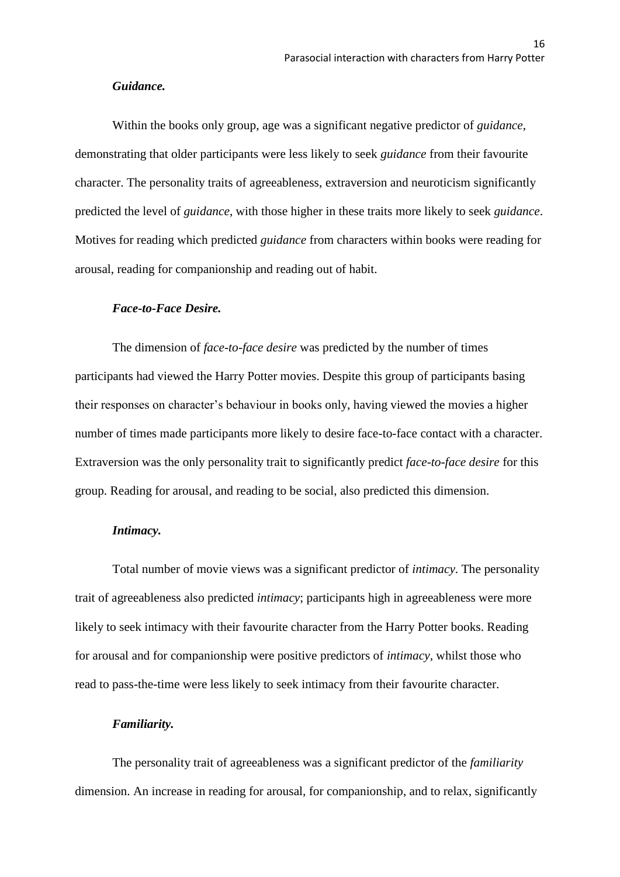## *Guidance.*

Within the books only group, age was a significant negative predictor of *guidance*, demonstrating that older participants were less likely to seek *guidance* from their favourite character. The personality traits of agreeableness, extraversion and neuroticism significantly predicted the level of *guidance*, with those higher in these traits more likely to seek *guidance*. Motives for reading which predicted *guidance* from characters within books were reading for arousal, reading for companionship and reading out of habit.

## *Face-to-Face Desire.*

The dimension of *face-to-face desire* was predicted by the number of times participants had viewed the Harry Potter movies. Despite this group of participants basing their responses on character's behaviour in books only, having viewed the movies a higher number of times made participants more likely to desire face-to-face contact with a character. Extraversion was the only personality trait to significantly predict *face-to-face desire* for this group. Reading for arousal, and reading to be social, also predicted this dimension.

## *Intimacy.*

Total number of movie views was a significant predictor of *intimacy*. The personality trait of agreeableness also predicted *intimacy*; participants high in agreeableness were more likely to seek intimacy with their favourite character from the Harry Potter books. Reading for arousal and for companionship were positive predictors of *intimacy,* whilst those who read to pass-the-time were less likely to seek intimacy from their favourite character.

#### *Familiarity.*

The personality trait of agreeableness was a significant predictor of the *familiarity* dimension. An increase in reading for arousal, for companionship, and to relax, significantly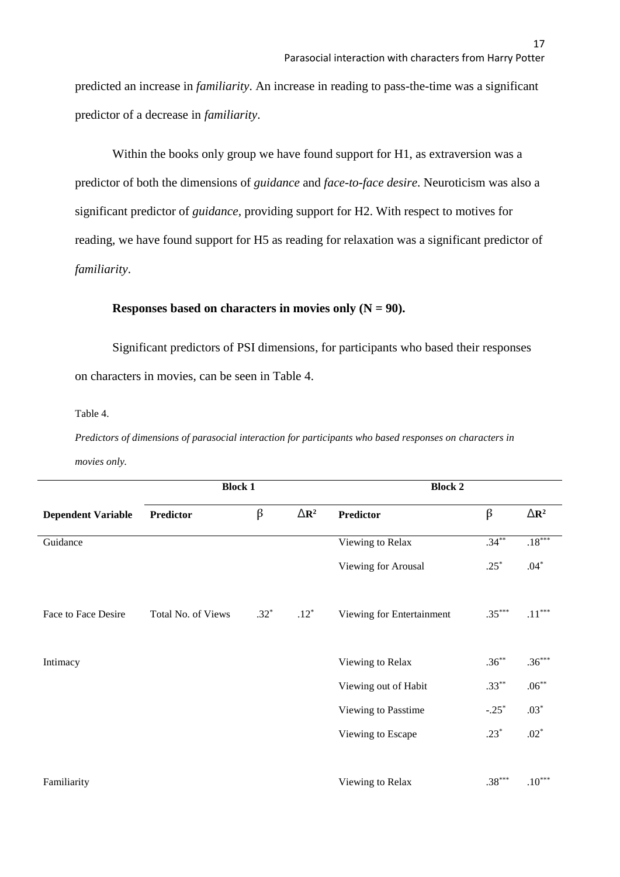predicted an increase in *familiarity*. An increase in reading to pass-the-time was a significant predictor of a decrease in *familiarity*.

Within the books only group we have found support for H1, as extraversion was a predictor of both the dimensions of *guidance* and *face-to-face desire*. Neuroticism was also a significant predictor of *guidance,* providing support for H2. With respect to motives for reading, we have found support for H5 as reading for relaxation was a significant predictor of *familiarity*.

## **Responses based on characters in movies only**  $(N = 90)$ **.**

Significant predictors of PSI dimensions, for participants who based their responses on characters in movies, can be seen in Table 4.

Table 4.

*Predictors of dimensions of parasocial interaction for participants who based responses on characters in movies only.*

|                           | <b>Block 1</b>     |         |                         | <b>Block 2</b>            |          |                      |
|---------------------------|--------------------|---------|-------------------------|---------------------------|----------|----------------------|
| <b>Dependent Variable</b> | <b>Predictor</b>   | $\beta$ | $\Delta$ R <sup>2</sup> | <b>Predictor</b>          | $\beta$  | $\triangle R^2$      |
| Guidance                  |                    |         |                         | Viewing to Relax          | $.34***$ | $.18***$             |
|                           |                    |         |                         | Viewing for Arousal       | $.25*$   | $.04*$               |
| Face to Face Desire       | Total No. of Views | $.32*$  | $.12*$                  | Viewing for Entertainment | $.35***$ | $.11^{\ast\ast\ast}$ |
| Intimacy                  |                    |         |                         | Viewing to Relax          | $.36***$ | $.36***$             |
|                           |                    |         |                         | Viewing out of Habit      | $.33***$ | $.06***$             |
|                           |                    |         |                         | Viewing to Passtime       | $-.25*$  | $.03*$               |
|                           |                    |         |                         | Viewing to Escape         | $.23*$   | $.02*$               |
| Familiarity               |                    |         |                         | Viewing to Relax          | $.38***$ | $.10***$             |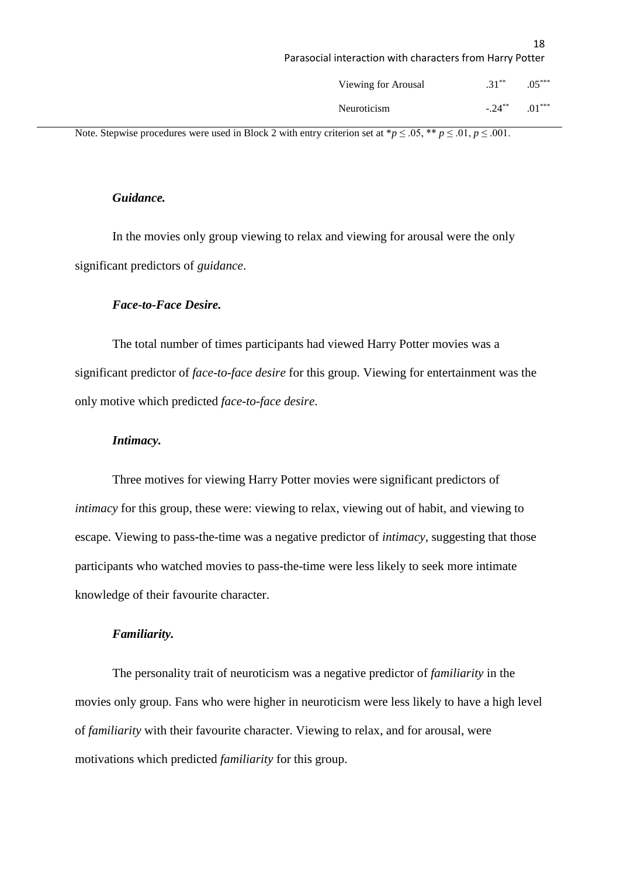| Viewing for Arousal | $.31***$  | $.05***$ |
|---------------------|-----------|----------|
| <b>Neuroticism</b>  | $-.24***$ | $.01***$ |

Note. Stepwise procedures were used in Block 2 with entry criterion set at  ${}^*p \leq .05$ ,  ${}^{**}p \leq .01$ ,  $p \leq .001$ .

## *Guidance.*

In the movies only group viewing to relax and viewing for arousal were the only significant predictors of *guidance*.

## *Face-to-Face Desire.*

The total number of times participants had viewed Harry Potter movies was a significant predictor of *face-to-face desire* for this group. Viewing for entertainment was the only motive which predicted *face-to-face desire*.

## *Intimacy.*

Three motives for viewing Harry Potter movies were significant predictors of *intimacy* for this group, these were: viewing to relax, viewing out of habit, and viewing to escape. Viewing to pass-the-time was a negative predictor of *intimacy,* suggesting that those participants who watched movies to pass-the-time were less likely to seek more intimate knowledge of their favourite character.

## *Familiarity.*

The personality trait of neuroticism was a negative predictor of *familiarity* in the movies only group. Fans who were higher in neuroticism were less likely to have a high level of *familiarity* with their favourite character. Viewing to relax, and for arousal, were motivations which predicted *familiarity* for this group.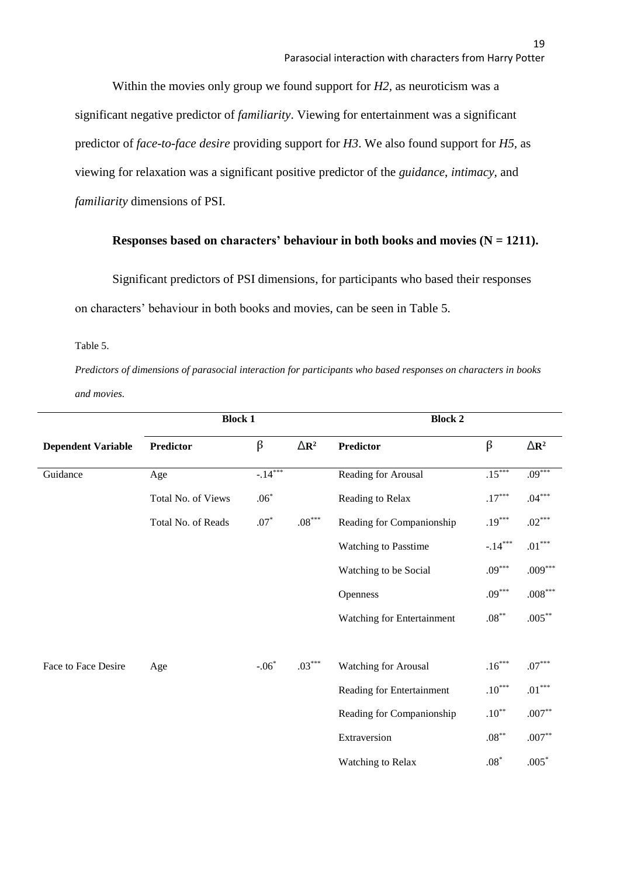Within the movies only group we found support for *H2,* as neuroticism was a significant negative predictor of *familiarity*. Viewing for entertainment was a significant predictor of *face-to-face desire* providing support for *H3*. We also found support for *H5,* as viewing for relaxation was a significant positive predictor of the *guidance*, *intimacy,* and *familiarity* dimensions of PSI.

## **Responses based on characters' behaviour in both books and movies**  $(N = 1211)$ **.**

Significant predictors of PSI dimensions, for participants who based their responses on characters' behaviour in both books and movies, can be seen in Table 5.

Table 5.

*Predictors of dimensions of parasocial interaction for participants who based responses on characters in books and movies.*

|                           | <b>Block 1</b>     |            |                 | <b>Block 2</b>              |                  |                      |
|---------------------------|--------------------|------------|-----------------|-----------------------------|------------------|----------------------|
| <b>Dependent Variable</b> | <b>Predictor</b>   | $\beta$    | $\triangle R^2$ | <b>Predictor</b>            | $\beta$          | $\triangle R^2$      |
| Guidance                  | Age                | $-14***$   |                 | Reading for Arousal         | $.15***$         | $.09***$             |
|                           | Total No. of Views | $.06*$     |                 | Reading to Relax            | $.17***$         | $.04***$             |
|                           | Total No. of Reads | $.07^\ast$ | $.08***$        | Reading for Companionship   | $.19***$         | $.02***$             |
|                           |                    |            |                 | <b>Watching to Passtime</b> | $-.14***$        | $.01^{\ast\ast\ast}$ |
|                           |                    |            |                 | Watching to be Social       | $.09***$         | $.009***$            |
|                           |                    |            |                 | Openness                    | $.09***$         | $.008^{***}\,$       |
|                           |                    |            |                 | Watching for Entertainment  | $.08***$         | $.005**$             |
|                           |                    |            |                 |                             |                  |                      |
| Face to Face Desire       | Age                | $-.06*$    | $.03***$        | <b>Watching for Arousal</b> | $.16***$         | $.07***$             |
|                           |                    |            |                 | Reading for Entertainment   | $.10***$         | $.01^{\ast\ast\ast}$ |
|                           |                    |            |                 | Reading for Companionship   | $.10***$         | $.007**$             |
|                           |                    |            |                 | Extraversion                | $.08^{\ast\ast}$ | $.007**$             |
|                           |                    |            |                 | <b>Watching to Relax</b>    | $.08^\ast$       | $.005*$              |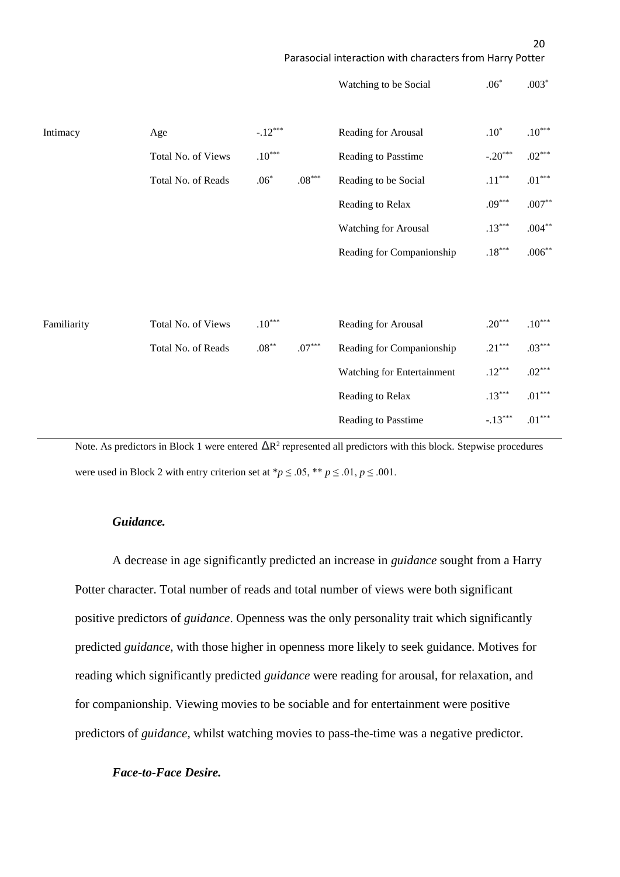|             |                    |             |                      | Watching to be Social       | $.06*$               | $.003*$              |
|-------------|--------------------|-------------|----------------------|-----------------------------|----------------------|----------------------|
| Intimacy    | Age                | $-.12***$   |                      | Reading for Arousal         | $.10^{\ast}$         | $.10***$             |
|             | Total No. of Views | $.10^{***}$ |                      | Reading to Passtime         | $-.20***$            | $.02***$             |
|             | Total No. of Reads | $.06*$      | $.08^{\ast\ast\ast}$ | Reading to be Social        | $.11^{\ast\ast\ast}$ | $.01^{\ast\ast\ast}$ |
|             |                    |             |                      | Reading to Relax            | $.09***$             | $.007^{\ast\ast}$    |
|             |                    |             |                      | <b>Watching for Arousal</b> | $.13***$             | $.004**$             |
|             |                    |             |                      | Reading for Companionship   | $.18^{\ast\ast\ast}$ | $.006**$             |
|             |                    |             |                      |                             |                      |                      |
|             |                    |             |                      |                             |                      |                      |
| Familiarity | Total No. of Views | $.10^{***}$ |                      | Reading for Arousal         | $.20***$             | $.10^{***}$          |
|             | Total No. of Reads | $.08***$    | $.07***$             | Reading for Companionship   | $.21***$             | $.03***$             |
|             |                    |             |                      | Watching for Entertainment  | $.12***$             | $.02***$             |
|             |                    |             |                      | Reading to Relax            | $.13***$             | $.01^{\ast\ast\ast}$ |
|             |                    |             |                      | Reading to Passtime         | $-.13***$            | $.01^{\ast\ast\ast}$ |
|             |                    |             |                      |                             |                      |                      |

Note. As predictors in Block 1 were entered  $\Delta R^2$  represented all predictors with this block. Stepwise procedures were used in Block 2 with entry criterion set at  $\frac{p}{q} \leq .05$ ,  $\frac{p}{q} \leq .01$ ,  $p \leq .001$ .

## *Guidance.*

A decrease in age significantly predicted an increase in *guidance* sought from a Harry Potter character. Total number of reads and total number of views were both significant positive predictors of *guidance*. Openness was the only personality trait which significantly predicted *guidance,* with those higher in openness more likely to seek guidance. Motives for reading which significantly predicted *guidance* were reading for arousal, for relaxation, and for companionship. Viewing movies to be sociable and for entertainment were positive predictors of *guidance,* whilst watching movies to pass-the-time was a negative predictor.

## *Face-to-Face Desire.*

Parasocial interaction with characters from Harry Potter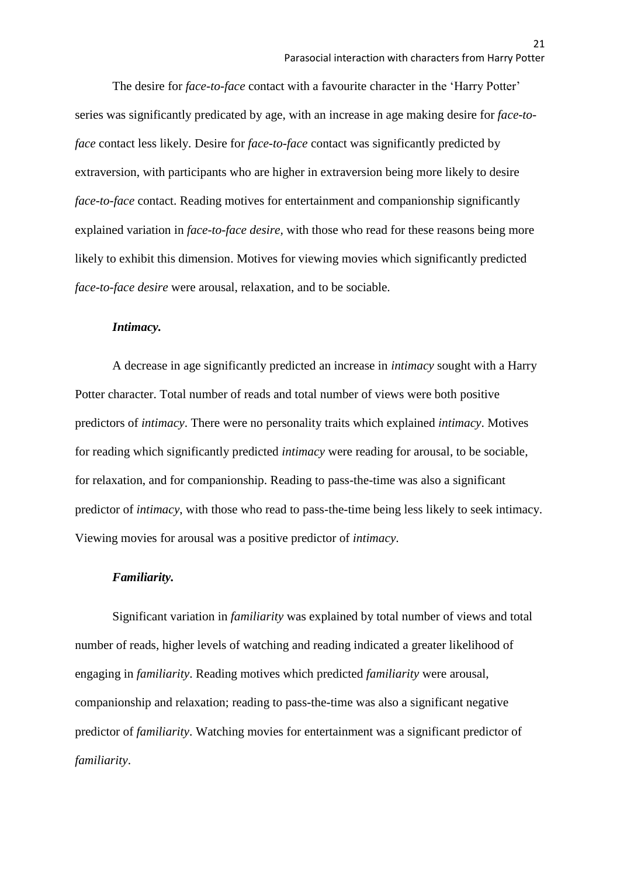The desire for *face-to-face* contact with a favourite character in the 'Harry Potter' series was significantly predicated by age, with an increase in age making desire for *face-toface* contact less likely. Desire for *face-to-face* contact was significantly predicted by extraversion, with participants who are higher in extraversion being more likely to desire *face-to-face* contact. Reading motives for entertainment and companionship significantly explained variation in *face-to-face desire,* with those who read for these reasons being more likely to exhibit this dimension. Motives for viewing movies which significantly predicted *face-to-face desire* were arousal, relaxation, and to be sociable.

## *Intimacy.*

A decrease in age significantly predicted an increase in *intimacy* sought with a Harry Potter character. Total number of reads and total number of views were both positive predictors of *intimacy*. There were no personality traits which explained *intimacy*. Motives for reading which significantly predicted *intimacy* were reading for arousal, to be sociable, for relaxation, and for companionship. Reading to pass-the-time was also a significant predictor of *intimacy*, with those who read to pass-the-time being less likely to seek intimacy. Viewing movies for arousal was a positive predictor of *intimacy*.

#### *Familiarity.*

Significant variation in *familiarity* was explained by total number of views and total number of reads, higher levels of watching and reading indicated a greater likelihood of engaging in *familiarity*. Reading motives which predicted *familiarity* were arousal, companionship and relaxation; reading to pass-the-time was also a significant negative predictor of *familiarity*. Watching movies for entertainment was a significant predictor of *familiarity*.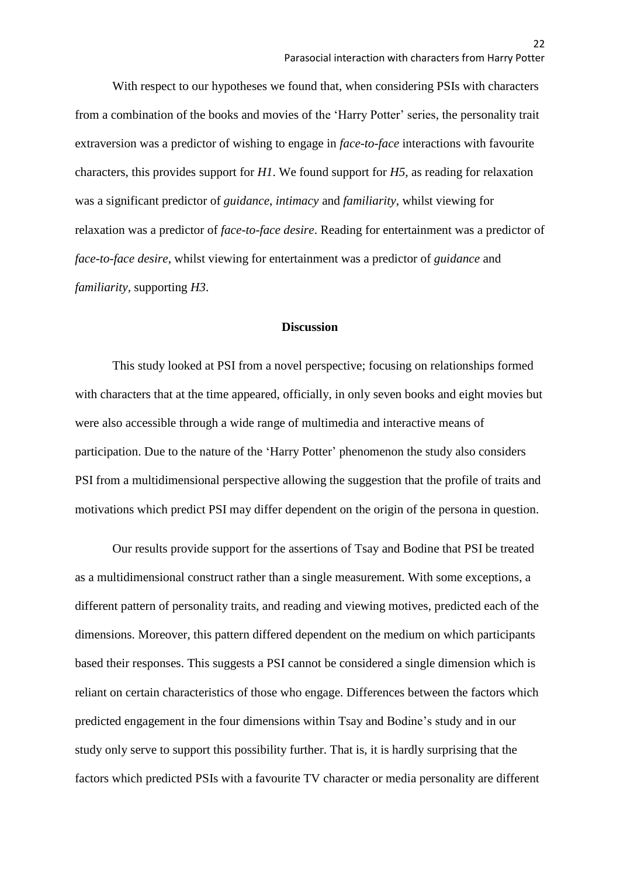With respect to our hypotheses we found that, when considering PSIs with characters from a combination of the books and movies of the 'Harry Potter' series, the personality trait extraversion was a predictor of wishing to engage in *face-to-face* interactions with favourite characters, this provides support for *H1*. We found support for *H5,* as reading for relaxation was a significant predictor of *guidance*, *intimacy* and *familiarity*, whilst viewing for relaxation was a predictor of *face-to-face desire*. Reading for entertainment was a predictor of *face-to-face desire*, whilst viewing for entertainment was a predictor of *guidance* and *familiarity,* supporting *H3*.

## **Discussion**

This study looked at PSI from a novel perspective; focusing on relationships formed with characters that at the time appeared, officially, in only seven books and eight movies but were also accessible through a wide range of multimedia and interactive means of participation. Due to the nature of the 'Harry Potter' phenomenon the study also considers PSI from a multidimensional perspective allowing the suggestion that the profile of traits and motivations which predict PSI may differ dependent on the origin of the persona in question.

Our results provide support for the assertions of Tsay and Bodine that PSI be treated as a multidimensional construct rather than a single measurement. With some exceptions, a different pattern of personality traits, and reading and viewing motives, predicted each of the dimensions. Moreover, this pattern differed dependent on the medium on which participants based their responses. This suggests a PSI cannot be considered a single dimension which is reliant on certain characteristics of those who engage. Differences between the factors which predicted engagement in the four dimensions within Tsay and Bodine's study and in our study only serve to support this possibility further. That is, it is hardly surprising that the factors which predicted PSIs with a favourite TV character or media personality are different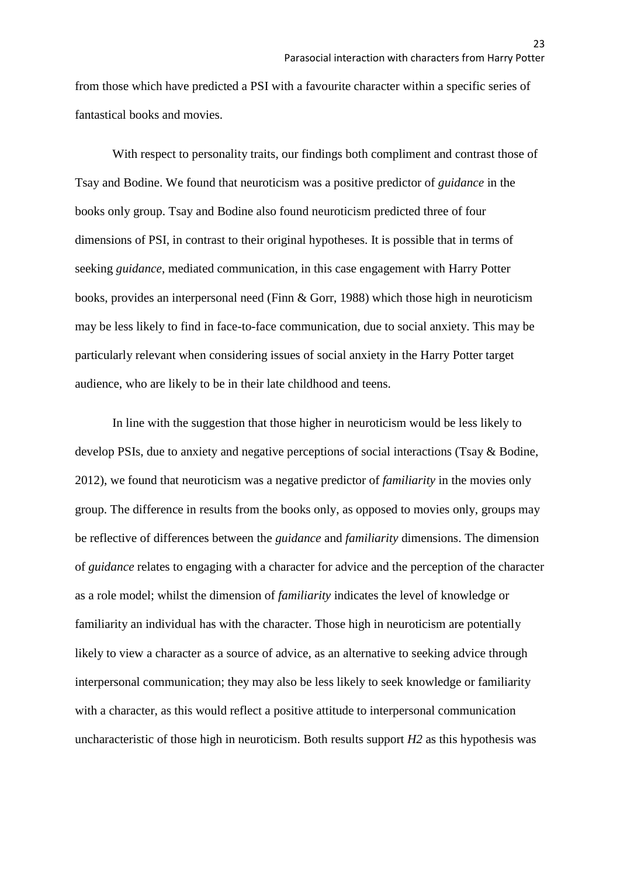from those which have predicted a PSI with a favourite character within a specific series of fantastical books and movies.

With respect to personality traits, our findings both compliment and contrast those of Tsay and Bodine. We found that neuroticism was a positive predictor of *guidance* in the books only group. Tsay and Bodine also found neuroticism predicted three of four dimensions of PSI, in contrast to their original hypotheses. It is possible that in terms of seeking *guidance*, mediated communication, in this case engagement with Harry Potter books, provides an interpersonal need (Finn & Gorr, 1988) which those high in neuroticism may be less likely to find in face-to-face communication, due to social anxiety. This may be particularly relevant when considering issues of social anxiety in the Harry Potter target audience, who are likely to be in their late childhood and teens.

In line with the suggestion that those higher in neuroticism would be less likely to develop PSIs, due to anxiety and negative perceptions of social interactions (Tsay & Bodine, 2012), we found that neuroticism was a negative predictor of *familiarity* in the movies only group. The difference in results from the books only, as opposed to movies only, groups may be reflective of differences between the *guidance* and *familiarity* dimensions. The dimension of *guidance* relates to engaging with a character for advice and the perception of the character as a role model; whilst the dimension of *familiarity* indicates the level of knowledge or familiarity an individual has with the character. Those high in neuroticism are potentially likely to view a character as a source of advice, as an alternative to seeking advice through interpersonal communication; they may also be less likely to seek knowledge or familiarity with a character, as this would reflect a positive attitude to interpersonal communication uncharacteristic of those high in neuroticism. Both results support *H2* as this hypothesis was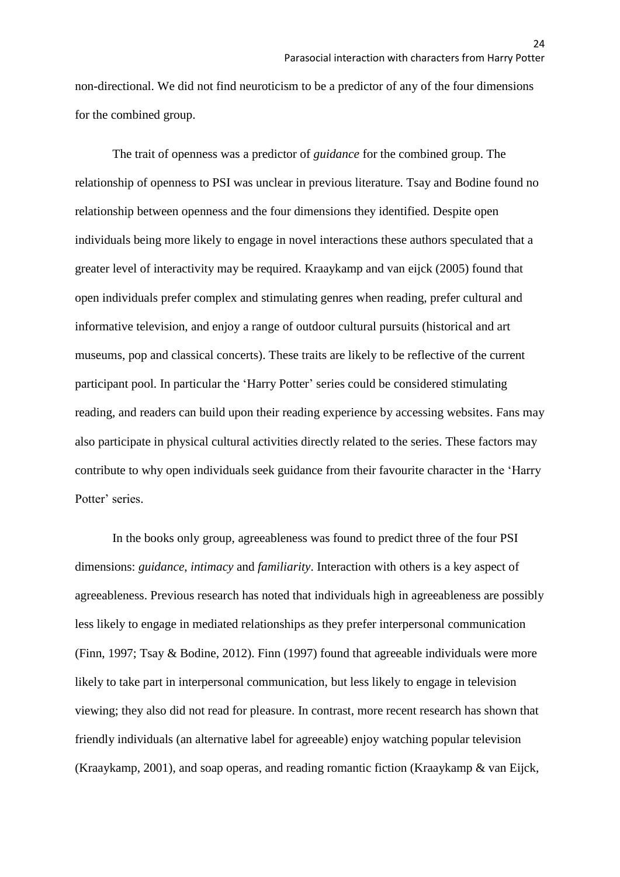non-directional. We did not find neuroticism to be a predictor of any of the four dimensions for the combined group.

The trait of openness was a predictor of *guidance* for the combined group. The relationship of openness to PSI was unclear in previous literature. Tsay and Bodine found no relationship between openness and the four dimensions they identified. Despite open individuals being more likely to engage in novel interactions these authors speculated that a greater level of interactivity may be required. Kraaykamp and van eijck (2005) found that open individuals prefer complex and stimulating genres when reading, prefer cultural and informative television, and enjoy a range of outdoor cultural pursuits (historical and art museums, pop and classical concerts). These traits are likely to be reflective of the current participant pool. In particular the 'Harry Potter' series could be considered stimulating reading, and readers can build upon their reading experience by accessing websites. Fans may also participate in physical cultural activities directly related to the series. These factors may contribute to why open individuals seek guidance from their favourite character in the 'Harry Potter' series.

In the books only group, agreeableness was found to predict three of the four PSI dimensions: *guidance*, *intimacy* and *familiarity*. Interaction with others is a key aspect of agreeableness. Previous research has noted that individuals high in agreeableness are possibly less likely to engage in mediated relationships as they prefer interpersonal communication (Finn, 1997; Tsay & Bodine, 2012). Finn (1997) found that agreeable individuals were more likely to take part in interpersonal communication, but less likely to engage in television viewing; they also did not read for pleasure. In contrast, more recent research has shown that friendly individuals (an alternative label for agreeable) enjoy watching popular television (Kraaykamp, 2001), and soap operas, and reading romantic fiction (Kraaykamp & van Eijck,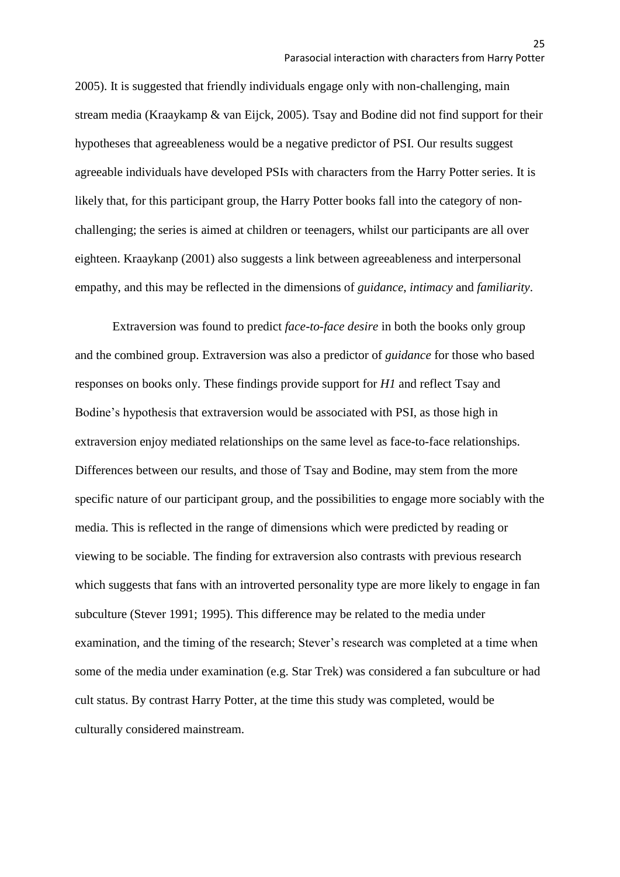2005). It is suggested that friendly individuals engage only with non-challenging, main stream media (Kraaykamp & van Eijck, 2005). Tsay and Bodine did not find support for their hypotheses that agreeableness would be a negative predictor of PSI. Our results suggest agreeable individuals have developed PSIs with characters from the Harry Potter series. It is likely that, for this participant group, the Harry Potter books fall into the category of nonchallenging; the series is aimed at children or teenagers, whilst our participants are all over eighteen. Kraaykanp (2001) also suggests a link between agreeableness and interpersonal empathy, and this may be reflected in the dimensions of *guidance*, *intimacy* and *familiarity*.

Extraversion was found to predict *face-to-face desire* in both the books only group and the combined group. Extraversion was also a predictor of *guidance* for those who based responses on books only. These findings provide support for *H1* and reflect Tsay and Bodine's hypothesis that extraversion would be associated with PSI, as those high in extraversion enjoy mediated relationships on the same level as face-to-face relationships. Differences between our results, and those of Tsay and Bodine, may stem from the more specific nature of our participant group, and the possibilities to engage more sociably with the media. This is reflected in the range of dimensions which were predicted by reading or viewing to be sociable. The finding for extraversion also contrasts with previous research which suggests that fans with an introverted personality type are more likely to engage in fan subculture (Stever 1991; 1995). This difference may be related to the media under examination, and the timing of the research; Stever's research was completed at a time when some of the media under examination (e.g. Star Trek) was considered a fan subculture or had cult status. By contrast Harry Potter, at the time this study was completed, would be culturally considered mainstream.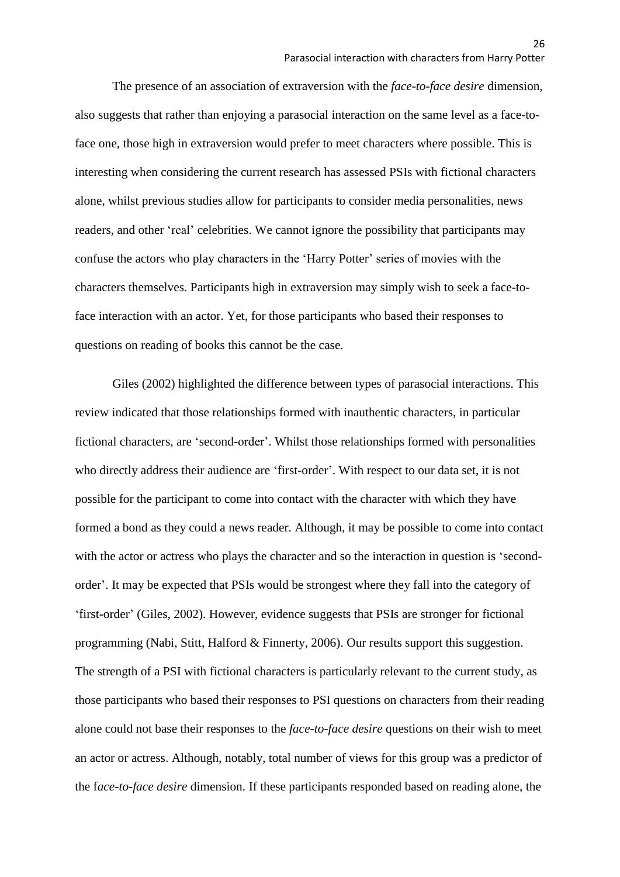The presence of an association of extraversion with the *face-to-face desire* dimension, also suggests that rather than enjoying a parasocial interaction on the same level as a face-toface one, those high in extraversion would prefer to meet characters where possible. This is interesting when considering the current research has assessed PSIs with fictional characters alone, whilst previous studies allow for participants to consider media personalities, news readers, and other 'real' celebrities. We cannot ignore the possibility that participants may confuse the actors who play characters in the 'Harry Potter' series of movies with the characters themselves. Participants high in extraversion may simply wish to seek a face-toface interaction with an actor. Yet, for those participants who based their responses to questions on reading of books this cannot be the case.

Giles (2002) highlighted the difference between types of parasocial interactions. This review indicated that those relationships formed with inauthentic characters, in particular fictional characters, are 'second-order'. Whilst those relationships formed with personalities who directly address their audience are 'first-order'. With respect to our data set, it is not possible for the participant to come into contact with the character with which they have formed a bond as they could a news reader. Although, it may be possible to come into contact with the actor or actress who plays the character and so the interaction in question is 'secondorder'. It may be expected that PSIs would be strongest where they fall into the category of 'first-order' (Giles, 2002). However, evidence suggests that PSIs are stronger for fictional programming (Nabi, Stitt, Halford & Finnerty, 2006). Our results support this suggestion. The strength of a PSI with fictional characters is particularly relevant to the current study, as those participants who based their responses to PSI questions on characters from their reading alone could not base their responses to the *face-to-face desire* questions on their wish to meet an actor or actress. Although, notably, total number of views for this group was a predictor of the f*ace-to-face desire* dimension. If these participants responded based on reading alone, the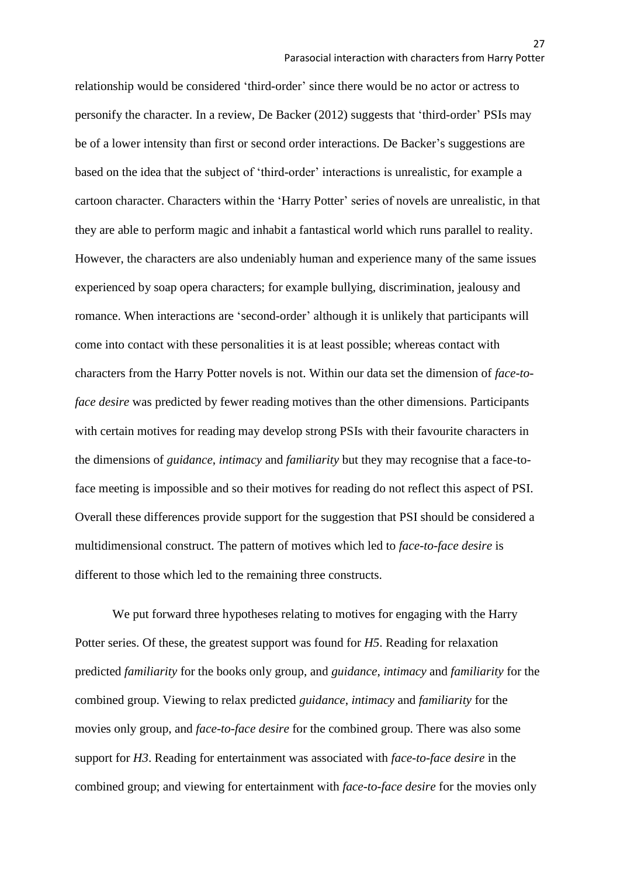relationship would be considered 'third-order' since there would be no actor or actress to personify the character. In a review, De Backer (2012) suggests that 'third-order' PSIs may be of a lower intensity than first or second order interactions. De Backer's suggestions are based on the idea that the subject of 'third-order' interactions is unrealistic, for example a cartoon character. Characters within the 'Harry Potter' series of novels are unrealistic, in that they are able to perform magic and inhabit a fantastical world which runs parallel to reality. However, the characters are also undeniably human and experience many of the same issues experienced by soap opera characters; for example bullying, discrimination, jealousy and romance. When interactions are 'second-order' although it is unlikely that participants will come into contact with these personalities it is at least possible; whereas contact with characters from the Harry Potter novels is not. Within our data set the dimension of *face-toface desire* was predicted by fewer reading motives than the other dimensions. Participants with certain motives for reading may develop strong PSIs with their favourite characters in the dimensions of *guidance*, *intimacy* and *familiarity* but they may recognise that a face-toface meeting is impossible and so their motives for reading do not reflect this aspect of PSI. Overall these differences provide support for the suggestion that PSI should be considered a multidimensional construct. The pattern of motives which led to *face-to-face desire* is different to those which led to the remaining three constructs.

We put forward three hypotheses relating to motives for engaging with the Harry Potter series. Of these, the greatest support was found for *H5*. Reading for relaxation predicted *familiarity* for the books only group, and *guidance*, *intimacy* and *familiarity* for the combined group. Viewing to relax predicted *guidance*, *intimacy* and *familiarity* for the movies only group, and *face-to-face desire* for the combined group. There was also some support for *H3*. Reading for entertainment was associated with *face-to-face desire* in the combined group; and viewing for entertainment with *face-to-face desire* for the movies only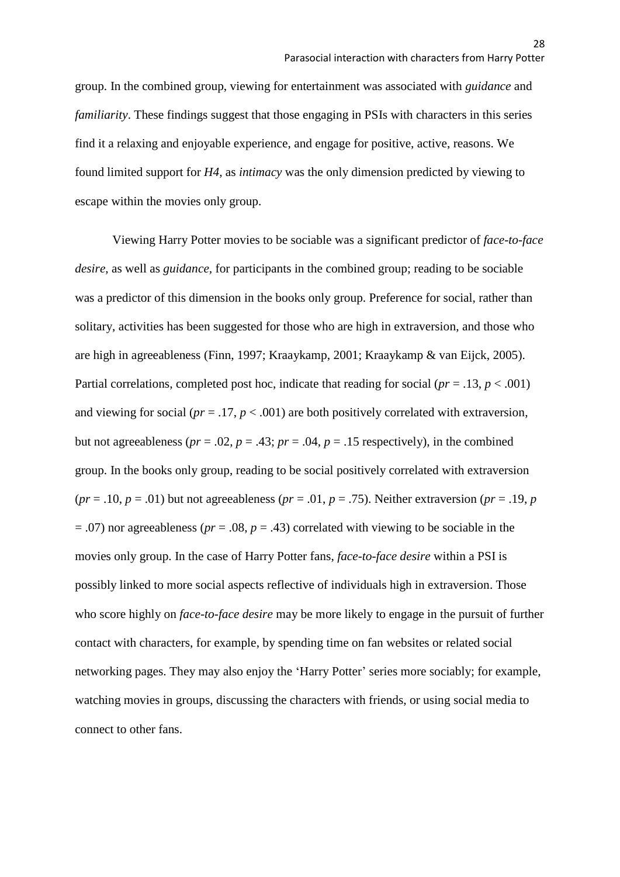group. In the combined group, viewing for entertainment was associated with *guidance* and *familiarity*. These findings suggest that those engaging in PSIs with characters in this series find it a relaxing and enjoyable experience, and engage for positive, active, reasons. We found limited support for *H4,* as *intimacy* was the only dimension predicted by viewing to escape within the movies only group.

Viewing Harry Potter movies to be sociable was a significant predictor of *face-to-face desire*, as well as *guidance,* for participants in the combined group; reading to be sociable was a predictor of this dimension in the books only group. Preference for social, rather than solitary, activities has been suggested for those who are high in extraversion, and those who are high in agreeableness (Finn, 1997; Kraaykamp, 2001; Kraaykamp & van Eijck, 2005). Partial correlations, completed post hoc, indicate that reading for social ( $pr = .13$ ,  $p < .001$ ) and viewing for social ( $pr = 0.17$ ,  $p < 0.001$ ) are both positively correlated with extraversion, but not agreeableness ( $pr = .02$ ,  $p = .43$ ;  $pr = .04$ ,  $p = .15$  respectively), in the combined group. In the books only group, reading to be social positively correlated with extraversion  $(pr = .10, p = .01)$  but not agreeableness  $(pr = .01, p = .75)$ . Neither extraversion  $(pr = .19, p$ = .07) nor agreeableness (*pr* = .08, *p* = .43) correlated with viewing to be sociable in the movies only group. In the case of Harry Potter fans, *face-to-face desire* within a PSI is possibly linked to more social aspects reflective of individuals high in extraversion. Those who score highly on *face-to-face desire* may be more likely to engage in the pursuit of further contact with characters, for example, by spending time on fan websites or related social networking pages. They may also enjoy the 'Harry Potter' series more sociably; for example, watching movies in groups, discussing the characters with friends, or using social media to connect to other fans.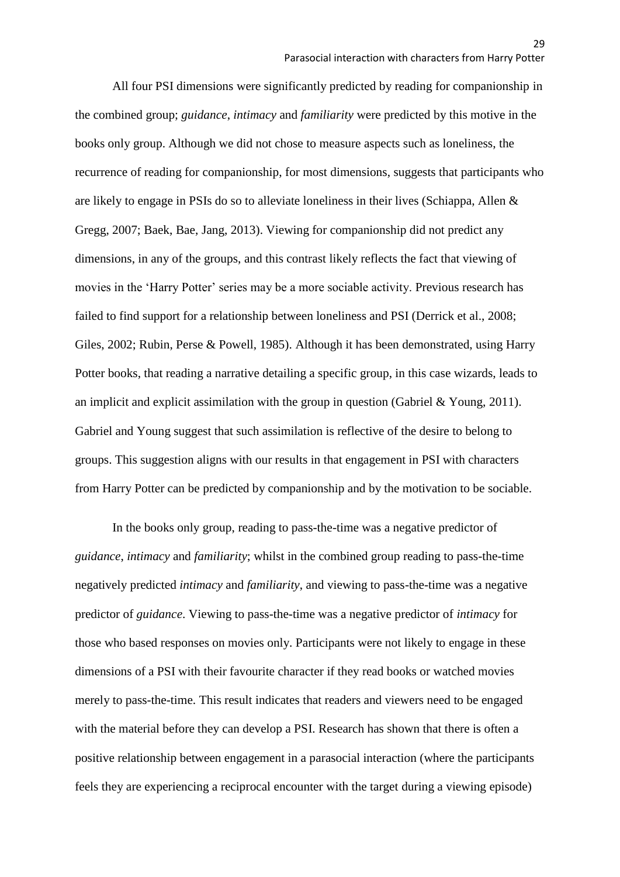All four PSI dimensions were significantly predicted by reading for companionship in the combined group; *guidance*, *intimacy* and *familiarity* were predicted by this motive in the books only group. Although we did not chose to measure aspects such as loneliness, the recurrence of reading for companionship, for most dimensions, suggests that participants who are likely to engage in PSIs do so to alleviate loneliness in their lives (Schiappa, Allen & Gregg, 2007; Baek, Bae, Jang, 2013). Viewing for companionship did not predict any dimensions, in any of the groups, and this contrast likely reflects the fact that viewing of movies in the 'Harry Potter' series may be a more sociable activity. Previous research has failed to find support for a relationship between loneliness and PSI (Derrick et al., 2008; Giles, 2002; Rubin, Perse & Powell, 1985). Although it has been demonstrated, using Harry Potter books, that reading a narrative detailing a specific group, in this case wizards, leads to an implicit and explicit assimilation with the group in question (Gabriel & Young, 2011). Gabriel and Young suggest that such assimilation is reflective of the desire to belong to groups. This suggestion aligns with our results in that engagement in PSI with characters from Harry Potter can be predicted by companionship and by the motivation to be sociable.

In the books only group, reading to pass-the-time was a negative predictor of *guidance*, *intimacy* and *familiarity*; whilst in the combined group reading to pass-the-time negatively predicted *intimacy* and *familiarity*, and viewing to pass-the-time was a negative predictor of *guidance*. Viewing to pass-the-time was a negative predictor of *intimacy* for those who based responses on movies only. Participants were not likely to engage in these dimensions of a PSI with their favourite character if they read books or watched movies merely to pass-the-time. This result indicates that readers and viewers need to be engaged with the material before they can develop a PSI. Research has shown that there is often a positive relationship between engagement in a parasocial interaction (where the participants feels they are experiencing a reciprocal encounter with the target during a viewing episode)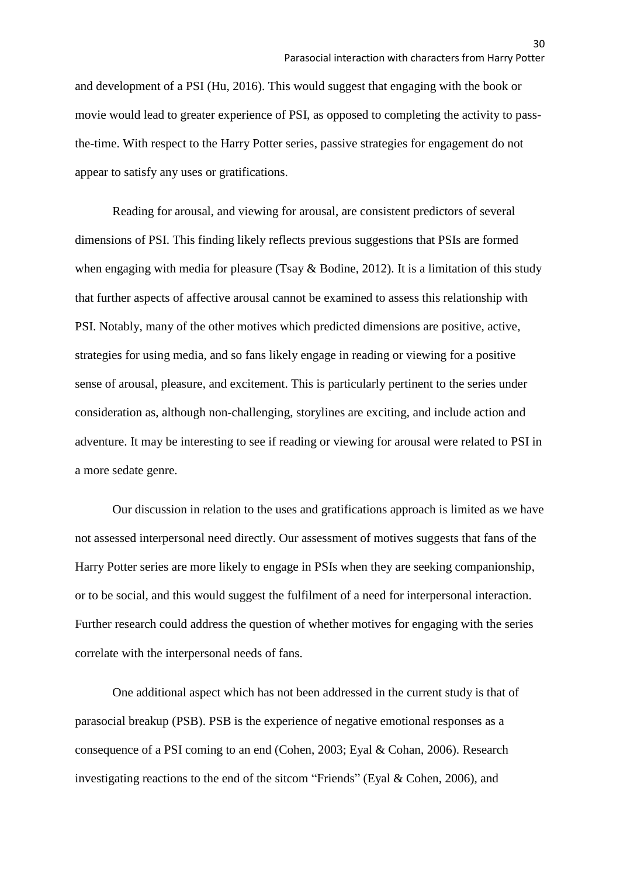and development of a PSI (Hu, 2016). This would suggest that engaging with the book or movie would lead to greater experience of PSI, as opposed to completing the activity to passthe-time. With respect to the Harry Potter series, passive strategies for engagement do not appear to satisfy any uses or gratifications.

Reading for arousal, and viewing for arousal, are consistent predictors of several dimensions of PSI. This finding likely reflects previous suggestions that PSIs are formed when engaging with media for pleasure (Tsay & Bodine, 2012). It is a limitation of this study that further aspects of affective arousal cannot be examined to assess this relationship with PSI. Notably, many of the other motives which predicted dimensions are positive, active, strategies for using media, and so fans likely engage in reading or viewing for a positive sense of arousal, pleasure, and excitement. This is particularly pertinent to the series under consideration as, although non-challenging, storylines are exciting, and include action and adventure. It may be interesting to see if reading or viewing for arousal were related to PSI in a more sedate genre.

Our discussion in relation to the uses and gratifications approach is limited as we have not assessed interpersonal need directly. Our assessment of motives suggests that fans of the Harry Potter series are more likely to engage in PSIs when they are seeking companionship, or to be social, and this would suggest the fulfilment of a need for interpersonal interaction. Further research could address the question of whether motives for engaging with the series correlate with the interpersonal needs of fans.

One additional aspect which has not been addressed in the current study is that of parasocial breakup (PSB). PSB is the experience of negative emotional responses as a consequence of a PSI coming to an end (Cohen, 2003; Eyal & Cohan, 2006). Research investigating reactions to the end of the sitcom "Friends" (Eyal & Cohen, 2006), and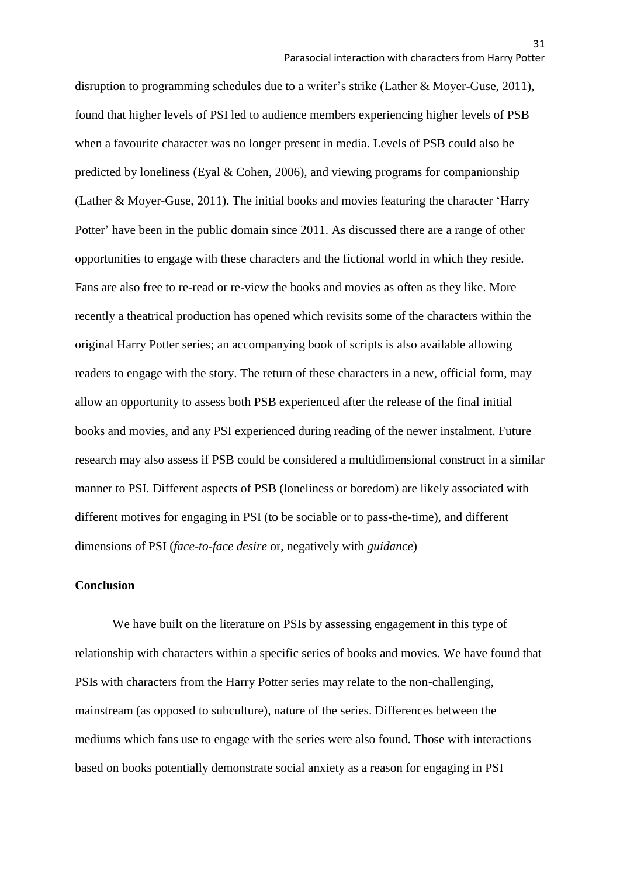disruption to programming schedules due to a writer's strike (Lather & Moyer-Guse, 2011), found that higher levels of PSI led to audience members experiencing higher levels of PSB when a favourite character was no longer present in media. Levels of PSB could also be predicted by loneliness (Eyal & Cohen, 2006), and viewing programs for companionship (Lather & Moyer-Guse, 2011). The initial books and movies featuring the character 'Harry Potter' have been in the public domain since 2011. As discussed there are a range of other opportunities to engage with these characters and the fictional world in which they reside. Fans are also free to re-read or re-view the books and movies as often as they like. More recently a theatrical production has opened which revisits some of the characters within the original Harry Potter series; an accompanying book of scripts is also available allowing readers to engage with the story. The return of these characters in a new, official form, may allow an opportunity to assess both PSB experienced after the release of the final initial books and movies, and any PSI experienced during reading of the newer instalment. Future research may also assess if PSB could be considered a multidimensional construct in a similar manner to PSI. Different aspects of PSB (loneliness or boredom) are likely associated with different motives for engaging in PSI (to be sociable or to pass-the-time), and different dimensions of PSI (*face-to-face desire* or, negatively with *guidance*)

#### **Conclusion**

We have built on the literature on PSIs by assessing engagement in this type of relationship with characters within a specific series of books and movies. We have found that PSIs with characters from the Harry Potter series may relate to the non-challenging, mainstream (as opposed to subculture), nature of the series. Differences between the mediums which fans use to engage with the series were also found. Those with interactions based on books potentially demonstrate social anxiety as a reason for engaging in PSI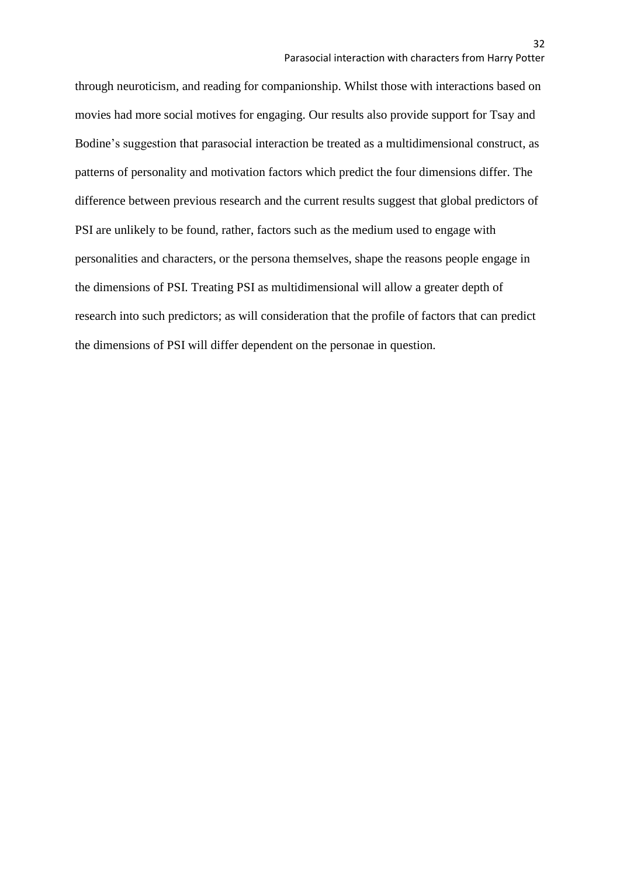through neuroticism, and reading for companionship. Whilst those with interactions based on movies had more social motives for engaging. Our results also provide support for Tsay and Bodine's suggestion that parasocial interaction be treated as a multidimensional construct, as patterns of personality and motivation factors which predict the four dimensions differ. The difference between previous research and the current results suggest that global predictors of PSI are unlikely to be found, rather, factors such as the medium used to engage with personalities and characters, or the persona themselves, shape the reasons people engage in the dimensions of PSI. Treating PSI as multidimensional will allow a greater depth of research into such predictors; as will consideration that the profile of factors that can predict the dimensions of PSI will differ dependent on the personae in question.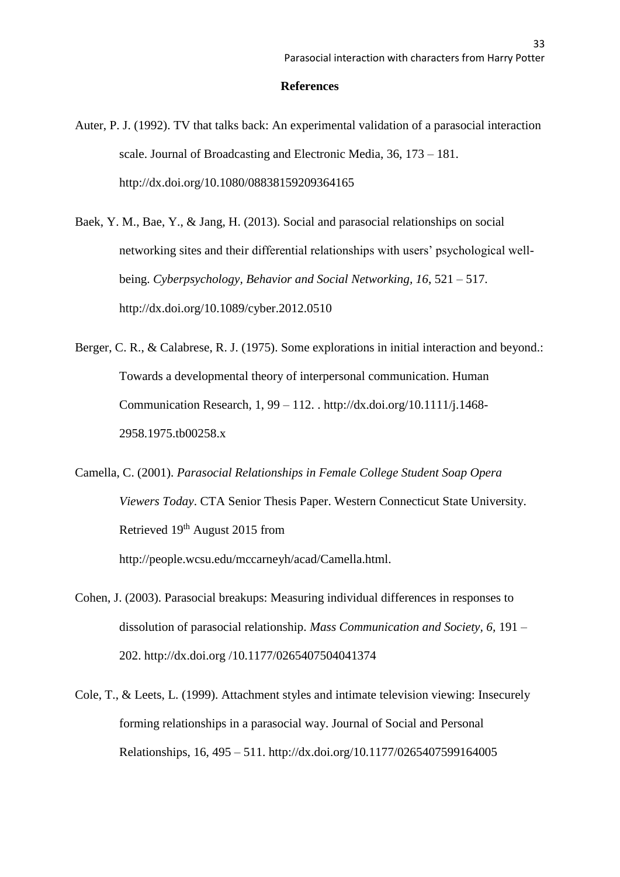#### **References**

- Auter, P. J. (1992). TV that talks back: An experimental validation of a parasocial interaction scale. Journal of Broadcasting and Electronic Media, 36, 173 – 181. http://dx.doi.org/10.1080/08838159209364165
- Baek, Y. M., Bae, Y., & Jang, H. (2013). Social and parasocial relationships on social networking sites and their differential relationships with users' psychological wellbeing. *Cyberpsychology, Behavior and Social Networking, 16*, 521 – 517. http://dx.doi.org/10.1089/cyber.2012.0510
- Berger, C. R., & Calabrese, R. J. (1975). Some explorations in initial interaction and beyond.: Towards a developmental theory of interpersonal communication. Human Communication Research, 1, 99 – 112. . http://dx.doi.org/10.1111/j.1468- 2958.1975.tb00258.x
- Camella, C. (2001). *Parasocial Relationships in Female College Student Soap Opera Viewers Today*. CTA Senior Thesis Paper. Western Connecticut State University. Retrieved 19<sup>th</sup> August 2015 from http://people.wcsu.edu/mccarneyh/acad/Camella.html.
- Cohen, J. (2003). Parasocial breakups: Measuring individual differences in responses to dissolution of parasocial relationship. *Mass Communication and Society, 6,* 191 – 202. http://dx.doi.org /10.1177/0265407504041374
- Cole, T., & Leets, L. (1999). Attachment styles and intimate television viewing: Insecurely forming relationships in a parasocial way. Journal of Social and Personal Relationships, 16, 495 – 511. http://dx.doi.org/10.1177/0265407599164005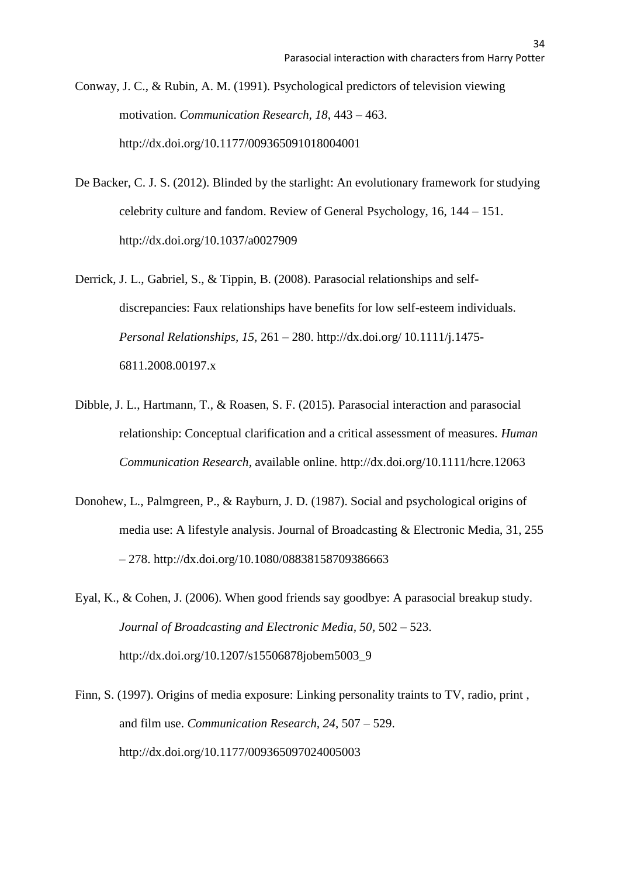Conway, J. C., & Rubin, A. M. (1991). Psychological predictors of television viewing motivation. *Communication Research, 18*, 443 – 463. http://dx.doi.org/10.1177/009365091018004001

- De Backer, C. J. S. (2012). Blinded by the starlight: An evolutionary framework for studying celebrity culture and fandom. Review of General Psychology, 16, 144 – 151. http://dx.doi.org/10.1037/a0027909
- Derrick, J. L., Gabriel, S., & Tippin, B. (2008). Parasocial relationships and selfdiscrepancies: Faux relationships have benefits for low self-esteem individuals. *Personal Relationships, 15,* 261 – 280. http://dx.doi.org/ 10.1111/j.1475- 6811.2008.00197.x
- Dibble, J. L., Hartmann, T., & Roasen, S. F. (2015). Parasocial interaction and parasocial relationship: Conceptual clarification and a critical assessment of measures. *Human Communication Research*, available online. http://dx.doi.org/10.1111/hcre.12063
- Donohew, L., Palmgreen, P., & Rayburn, J. D. (1987). Social and psychological origins of media use: A lifestyle analysis. Journal of Broadcasting & Electronic Media, 31, 255 – 278. http://dx.doi.org/10.1080/08838158709386663
- Eyal, K., & Cohen, J. (2006). When good friends say goodbye: A parasocial breakup study. *Journal of Broadcasting and Electronic Media, 50,* 502 – 523. http://dx.doi.org/10.1207/s15506878jobem5003\_9
- Finn, S. (1997). Origins of media exposure: Linking personality traints to TV, radio, print , and film use. *Communication Research, 24*, 507 – 529. http://dx.doi.org/10.1177/009365097024005003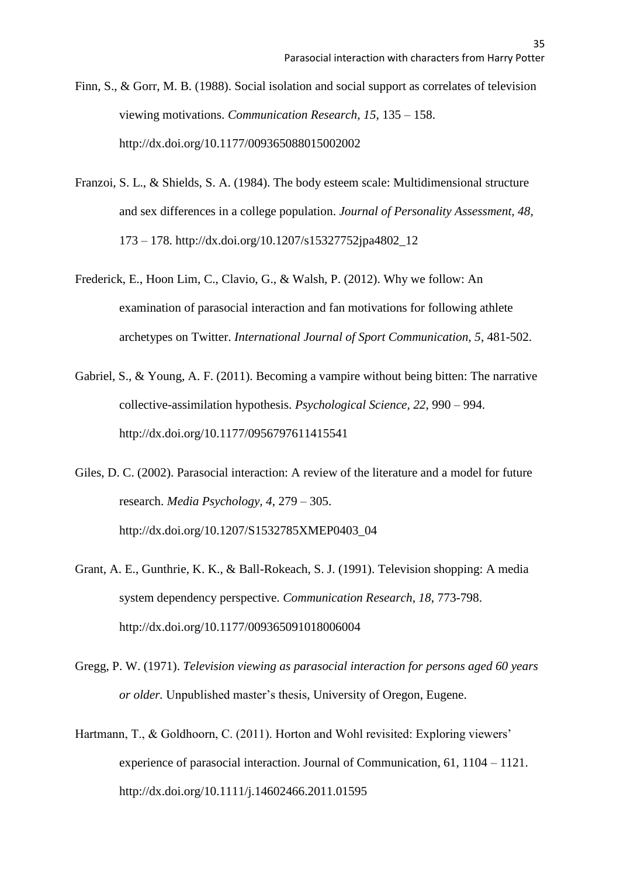Finn, S., & Gorr, M. B. (1988). Social isolation and social support as correlates of television viewing motivations. *Communication Research, 15*, 135 – 158. http://dx.doi.org/10.1177/009365088015002002

- Franzoi, S. L., & Shields, S. A. (1984). The body esteem scale: Multidimensional structure and sex differences in a college population. *Journal of Personality Assessment, 48,* 173 – 178. http://dx.doi.org/10.1207/s15327752jpa4802\_12
- Frederick, E., Hoon Lim, C., Clavio, G., & Walsh, P. (2012). Why we follow: An examination of parasocial interaction and fan motivations for following athlete archetypes on Twitter. *International Journal of Sport Communication, 5*, 481-502.
- Gabriel, S., & Young, A. F. (2011). Becoming a vampire without being bitten: The narrative collective-assimilation hypothesis. *Psychological Science, 22*, 990 – 994. http://dx.doi.org/10.1177/0956797611415541
- Giles, D. C. (2002). Parasocial interaction: A review of the literature and a model for future research. *Media Psychology, 4*, 279 – 305. http://dx.doi.org/10.1207/S1532785XMEP0403\_04
- Grant, A. E., Gunthrie, K. K., & Ball-Rokeach, S. J. (1991). Television shopping: A media system dependency perspective. *Communication Research, 18*, 773-798. http://dx.doi.org/10.1177/009365091018006004
- Gregg, P. W. (1971). *Television viewing as parasocial interaction for persons aged 60 years or older.* Unpublished master's thesis, University of Oregon, Eugene.
- Hartmann, T., & Goldhoorn, C. (2011). Horton and Wohl revisited: Exploring viewers' experience of parasocial interaction. Journal of Communication, 61, 1104 – 1121. http://dx.doi.org/10.1111/j.14602466.2011.01595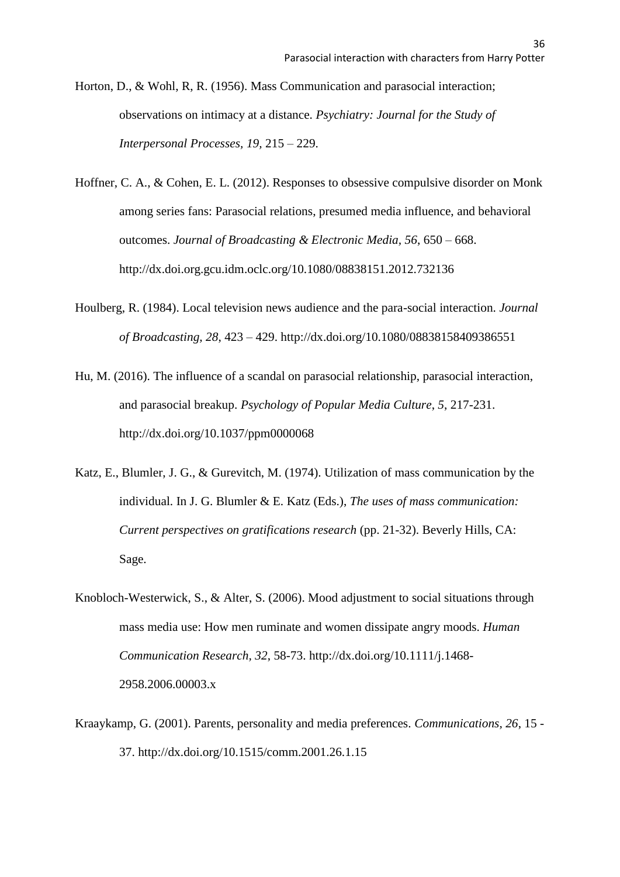- Horton, D., & Wohl, R, R. (1956). Mass Communication and parasocial interaction; observations on intimacy at a distance. *Psychiatry: Journal for the Study of Interpersonal Processes, 19,* 215 – 229.
- Hoffner, C. A., & Cohen, E. L. (2012). Responses to obsessive compulsive disorder on Monk among series fans: Parasocial relations, presumed media influence, and behavioral outcomes. *Journal of Broadcasting & Electronic Media, 56*, 650 – 668. http://dx.doi.org.gcu.idm.oclc.org/10.1080/08838151.2012.732136
- Houlberg, R. (1984). Local television news audience and the para-social interaction. *Journal of Broadcasting, 28*, 423 – 429. http://dx.doi.org/10.1080/08838158409386551
- Hu, M. (2016). The influence of a scandal on parasocial relationship, parasocial interaction, and parasocial breakup. *Psychology of Popular Media Culture*, *5*, 217-231. http://dx.doi.org/10.1037/ppm0000068
- Katz, E., Blumler, J. G., & Gurevitch, M. (1974). Utilization of mass communication by the individual. In J. G. Blumler & E. Katz (Eds.), *The uses of mass communication: Current perspectives on gratifications research* (pp. 21-32). Beverly Hills, CA: Sage.
- Knobloch-Westerwick, S., & Alter, S. (2006). Mood adjustment to social situations through mass media use: How men ruminate and women dissipate angry moods. *Human Communication Research, 32*, 58-73. http://dx.doi.org/10.1111/j.1468- 2958.2006.00003.x
- Kraaykamp, G. (2001). Parents, personality and media preferences. *Communications, 26*, 15 37. http://dx.doi.org/10.1515/comm.2001.26.1.15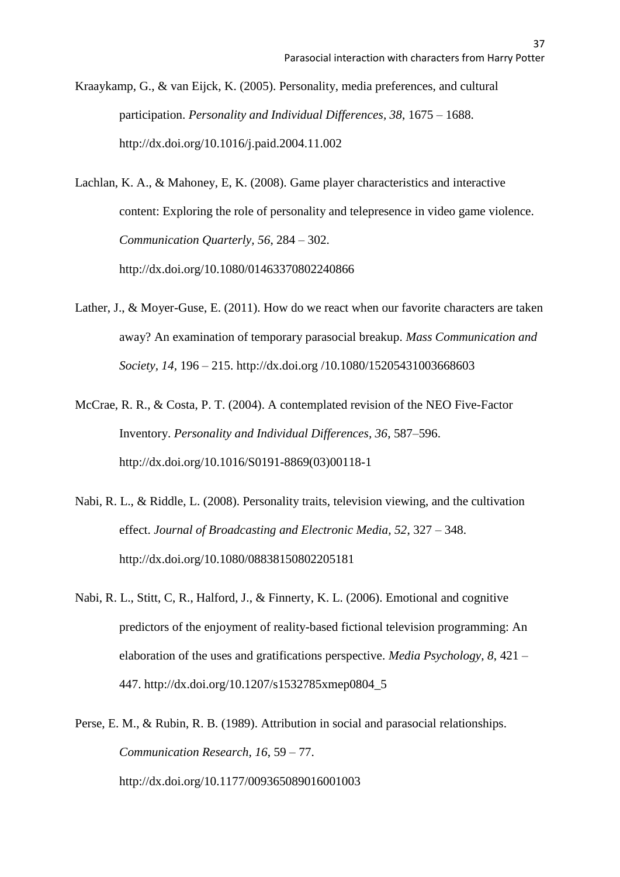Kraaykamp, G., & van Eijck, K. (2005). Personality, media preferences, and cultural participation. *Personality and Individual Differences, 38*, 1675 – 1688. http://dx.doi.org/10.1016/j.paid.2004.11.002

Lachlan, K. A., & Mahoney, E, K. (2008). Game player characteristics and interactive content: Exploring the role of personality and telepresence in video game violence. *Communication Quarterly, 56*, 284 – 302. http://dx.doi.org/10.1080/01463370802240866

- Lather, J., & Moyer-Guse, E. (2011). How do we react when our favorite characters are taken away? An examination of temporary parasocial breakup. *Mass Communication and Society, 14,* 196 – 215. http://dx.doi.org /10.1080/15205431003668603
- McCrae, R. R., & Costa, P. T. (2004). A contemplated revision of the NEO Five-Factor Inventory. *Personality and Individual Differences, 36*, 587–596. http://dx.doi.org/10.1016/S0191-8869(03)00118-1
- Nabi, R. L., & Riddle, L. (2008). Personality traits, television viewing, and the cultivation effect. *Journal of Broadcasting and Electronic Media, 52*, 327 – 348. http://dx.doi.org/10.1080/08838150802205181
- Nabi, R. L., Stitt, C, R., Halford, J., & Finnerty, K. L. (2006). Emotional and cognitive predictors of the enjoyment of reality-based fictional television programming: An elaboration of the uses and gratifications perspective. *Media Psychology, 8*, 421 – 447. http://dx.doi.org/10.1207/s1532785xmep0804\_5
- Perse, E. M., & Rubin, R. B. (1989). Attribution in social and parasocial relationships. *Communication Research, 16*, 59 – 77. http://dx.doi.org/10.1177/009365089016001003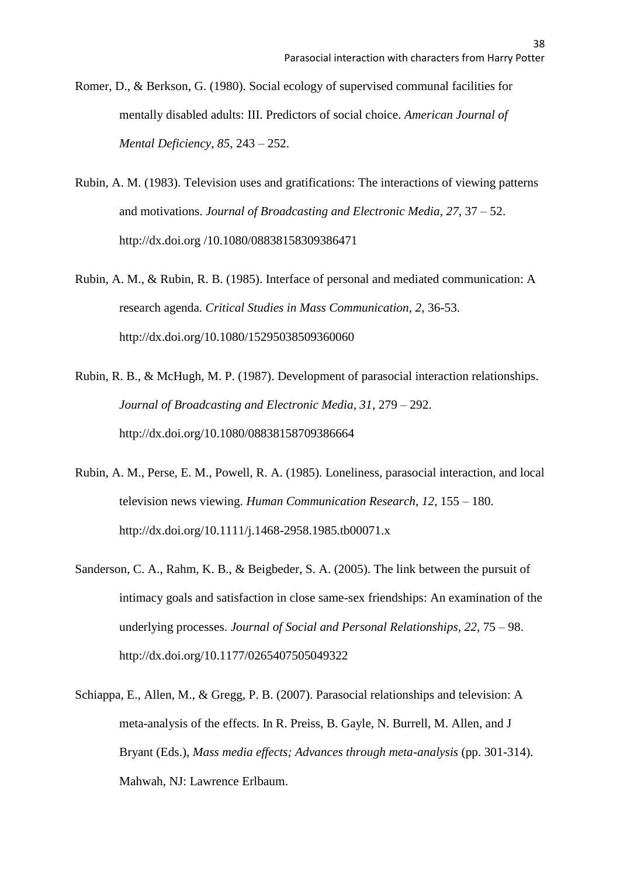- Romer, D., & Berkson, G. (1980). Social ecology of supervised communal facilities for mentally disabled adults: III. Predictors of social choice. *American Journal of Mental Deficiency, 85*, 243 – 252.
- Rubin, A. M. (1983). Television uses and gratifications: The interactions of viewing patterns and motivations. *Journal of Broadcasting and Electronic Media, 27*, 37 – 52. http://dx.doi.org /10.1080/08838158309386471
- Rubin, A. M., & Rubin, R. B. (1985). Interface of personal and mediated communication: A research agenda. *Critical Studies in Mass Communication, 2*, 36-53. http://dx.doi.org/10.1080/15295038509360060
- Rubin, R. B., & McHugh, M. P. (1987). Development of parasocial interaction relationships. *Journal of Broadcasting and Electronic Media, 31*, 279 – 292. http://dx.doi.org/10.1080/08838158709386664
- Rubin, A. M., Perse, E. M., Powell, R. A. (1985). Loneliness, parasocial interaction, and local television news viewing. *Human Communication Research, 12*, 155 – 180. http://dx.doi.org/10.1111/j.1468-2958.1985.tb00071.x
- Sanderson, C. A., Rahm, K. B., & Beigbeder, S. A. (2005). The link between the pursuit of intimacy goals and satisfaction in close same-sex friendships: An examination of the underlying processes. *Journal of Social and Personal Relationships, 22*, 75 – 98. http://dx.doi.org/10.1177/0265407505049322
- Schiappa, E., Allen, M., & Gregg, P. B. (2007). Parasocial relationships and television: A meta-analysis of the effects. In R. Preiss, B. Gayle, N. Burrell, M. Allen, and J Bryant (Eds.), *Mass media effects; Advances through meta-analysis* (pp. 301-314). Mahwah, NJ: Lawrence Erlbaum.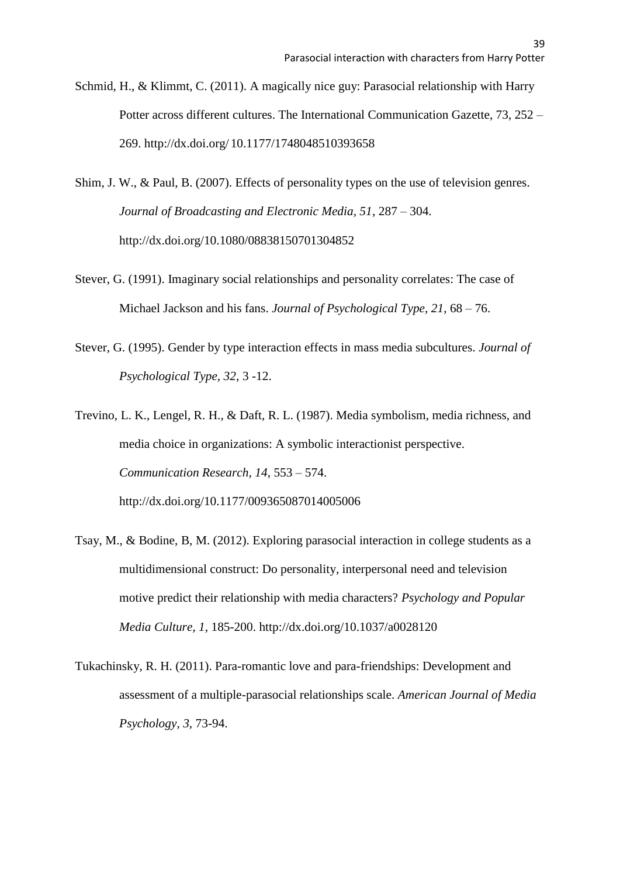- Schmid, H., & Klimmt, C. (2011). A magically nice guy: Parasocial relationship with Harry Potter across different cultures. The International Communication Gazette, 73, 252 – 269. http://dx.doi.org/ 10.1177/1748048510393658
- Shim, J. W., & Paul, B. (2007). Effects of personality types on the use of television genres. *Journal of Broadcasting and Electronic Media, 51*, 287 – 304. http://dx.doi.org/10.1080/08838150701304852
- Stever, G. (1991). Imaginary social relationships and personality correlates: The case of Michael Jackson and his fans. *Journal of Psychological Type, 21*, 68 – 76.
- Stever, G. (1995). Gender by type interaction effects in mass media subcultures. *Journal of Psychological Type, 32*, 3 -12.
- Trevino, L. K., Lengel, R. H., & Daft, R. L. (1987). Media symbolism, media richness, and media choice in organizations: A symbolic interactionist perspective. *Communication Research, 14*, 553 – 574. http://dx.doi.org/10.1177/009365087014005006
- Tsay, M., & Bodine, B, M. (2012). Exploring parasocial interaction in college students as a multidimensional construct: Do personality, interpersonal need and television motive predict their relationship with media characters? *Psychology and Popular Media Culture, 1*, 185-200. http://dx.doi.org/10.1037/a0028120
- Tukachinsky, R. H. (2011). Para-romantic love and para-friendships: Development and assessment of a multiple-parasocial relationships scale. *American Journal of Media Psychology, 3*, 73-94.